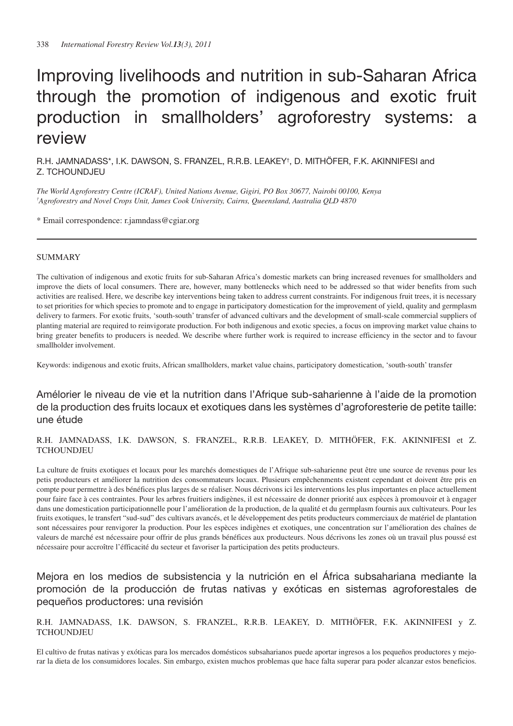# Improving livelihoods and nutrition in sub-Saharan Africa through the promotion of indigenous and exotic fruit production in smallholders' agroforestry systems: a review

R.H. JAMNADASS\*, I.K. DAWSON, S. FRANZEL, R.R.B. LEAKEY† , D. MITHÖFER, F.K. AKINNIFESI and Z. TCHOUNDJEU

*The World Agroforestry Centre (ICRAF), United Nations Avenue, Gigiri, PO Box 30677, Nairobi 00100, Kenya † Agroforestry and Novel Crops Unit, James Cook University, Cairns, Queensland, Australia QLD 4870*

\* Email correspondence: r.jamndass@cgiar.org

# SUMMARY

The cultivation of indigenous and exotic fruits for sub-Saharan Africa's domestic markets can bring increased revenues for smallholders and improve the diets of local consumers. There are, however, many bottlenecks which need to be addressed so that wider benefits from such activities are realised. Here, we describe key interventions being taken to address current constraints. For indigenous fruit trees, it is necessary to set priorities for which species to promote and to engage in participatory domestication for the improvement of yield, quality and germplasm delivery to farmers. For exotic fruits, 'south-south' transfer of advanced cultivars and the development of small-scale commercial suppliers of planting material are required to reinvigorate production. For both indigenous and exotic species, a focus on improving market value chains to bring greater benefits to producers is needed. We describe where further work is required to increase efficiency in the sector and to favour smallholder involvement.

Keywords: indigenous and exotic fruits, African smallholders, market value chains, participatory domestication, 'south-south' transfer

Amélorier le niveau de vie et la nutrition dans l'Afrique sub-saharienne à l'aide de la promotion de la production des fruits locaux et exotiques dans les systèmes d'agroforesterie de petite taille: une étude

R.H. JAMNADASS, I.K. DAWSON, S. FRANZEL, R.R.B. LEAKEY, D. MITHÖFER, F.K. AKINNIFESI et Z. **TCHOUNDJEU** 

La culture de fruits exotiques et locaux pour les marchés domestiques de l'Afrique sub-saharienne peut être une source de revenus pour les petis producteurs et améliorer la nutrition des consommateurs locaux. Plusieurs empêchenments existent cependant et doivent être pris en compte pour permettre à des bénéfices plus larges de se réaliser. Nous décrivons ici les interventions les plus importantes en place actuellement pour faire face à ces contraintes. Pour les arbres fruitiers indigènes, il est nécessaire de donner priorité aux espèces à promouvoir et à engager dans une domestication participationnelle pour l'amélioration de la production, de la qualité et du germplasm fournis aux cultivateurs. Pour les fruits exotiques, le transfert "sud-sud" des cultivars avancés, et le développement des petits producteurs commerciaux de matériel de plantation sont nécessaires pour renvigorer la production. Pour les espèces indigènes et exotiques, une concentration sur l'amélioration des chaînes de valeurs de marché est nécessaire pour offrir de plus grands bénéfices aux producteurs. Nous décrivons les zones où un travail plus poussé est nécessaire pour accroître l'éfficacité du secteur et favoriser la participation des petits producteurs.

Mejora en los medios de subsistencia y la nutrición en el África subsahariana mediante la promoción de la producción de frutas nativas y exóticas en sistemas agroforestales de pequeños productores: una revisión

R.H. JAMNADASS, I.K. DAWSON, S. FRANZEL, R.R.B. LEAKEY, D. MITHÖFER, F.K. AKINNIFESI y Z. TCHOUNDJEU

El cultivo de frutas nativas y exóticas para los mercados domésticos subsaharianos puede aportar ingresos a los pequeños productores y mejorar la dieta de los consumidores locales. Sin embargo, existen muchos problemas que hace falta superar para poder alcanzar estos beneficios.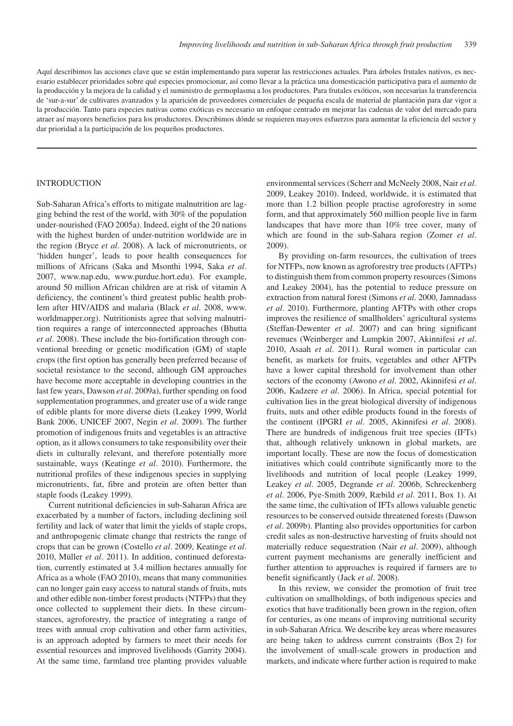Aquí describimos las acciones clave que se están implementando para superar las restricciones actuales. Para árboles frutales nativos, es necesario establecer prioridades sobre qué especies promocionar, así como llevar a la práctica una domesticación participativa para el aumento de la producción y la mejora de la calidad y el suministro de germoplasma a los productores. Para frutales exóticos, son necesarias la transferencia de 'sur-a-sur' de cultivares avanzados y la aparición de proveedores comerciales de pequeña escala de material de plantación para dar vigor a la producción. Tanto para especies nativas como exóticas es necesario un enfoque centrado en mejorar las cadenas de valor del mercado para atraer así mayores beneficios para los productores. Describimos dónde se requieren mayores esfuerzos para aumentar la eficiencia del sector y dar prioridad a la participación de los pequeños productores.

#### INTRODUCTION

Sub-Saharan Africa's efforts to mitigate malnutrition are lagging behind the rest of the world, with 30% of the population under-nourished (FAO 2005a). Indeed, eight of the 20 nations with the highest burden of under-nutrition worldwide are in the region (Bryce *et al*. 2008). A lack of micronutrients, or 'hidden hunger', leads to poor health consequences for millions of Africans (Saka and Msonthi 1994, Saka *et al*. 2007, www.nap.edu, www.purdue.hort.edu). For example, around 50 million African children are at risk of vitamin A deficiency, the continent's third greatest public health problem after HIV/AIDS and malaria (Black *et al*. 2008, www. worldmapper.org). Nutritionists agree that solving malnutrition requires a range of interconnected approaches (Bhutta *et al*. 2008). These include the bio-fortification through conventional breeding or genetic modification (GM) of staple crops (the first option has generally been preferred because of societal resistance to the second, although GM approaches have become more acceptable in developing countries in the last few years, Dawson *et al*. 2009a), further spending on food supplementation programmes, and greater use of a wide range of edible plants for more diverse diets (Leakey 1999, World Bank 2006, UNICEF 2007, Negin *et al*. 2009). The further promotion of indigenous fruits and vegetables is an attractive option, as it allows consumers to take responsibility over their diets in culturally relevant, and therefore potentially more sustainable, ways (Keatinge *et al*. 2010). Furthermore, the nutritional profiles of these indigenous species in supplying micronutrients, fat, fibre and protein are often better than staple foods (Leakey 1999).

Current nutritional deficiencies in sub-Saharan Africa are exacerbated by a number of factors, including declining soil fertility and lack of water that limit the yields of staple crops, and anthropogenic climate change that restricts the range of crops that can be grown (Costello *et al*. 2009, Keatinge *et al*. 2010, Müller *et al*. 2011). In addition, continued deforestation, currently estimated at 3.4 million hectares annually for Africa as a whole (FAO 2010), means that many communities can no longer gain easy access to natural stands of fruits, nuts and other edible non-timber forest products (NTFPs) that they once collected to supplement their diets. In these circumstances, agroforestry, the practice of integrating a range of trees with annual crop cultivation and other farm activities, is an approach adopted by farmers to meet their needs for essential resources and improved livelihoods (Garrity 2004). At the same time, farmland tree planting provides valuable

environmental services (Scherr and McNeely 2008, Nair *et al*. 2009, Leakey 2010). Indeed, worldwide, it is estimated that more than 1.2 billion people practise agroforestry in some form, and that approximately 560 million people live in farm landscapes that have more than 10% tree cover, many of which are found in the sub-Sahara region (Zomer *et al*. 2009).

By providing on-farm resources, the cultivation of trees for NTFPs, now known as agroforestry tree products (AFTPs) to distinguish them from common property resources (Simons and Leakey 2004), has the potential to reduce pressure on extraction from natural forest (Simons *et al*. 2000, Jamnadass *et al*. 2010). Furthermore, planting AFTPs with other crops improves the resilience of smallholders' agricultural systems (Steffan-Dewenter *et al*. 2007) and can bring significant revenues (Weinberger and Lumpkin 2007, Akinnifesi *et al*. 2010, Asaah *et al*. 2011). Rural women in particular can benefit, as markets for fruits, vegetables and other AFTPs have a lower capital threshold for involvement than other sectors of the economy (Awono *et al*. 2002, Akinnifesi *et al*. 2006, Kadzere *et al*. 2006). In Africa, special potential for cultivation lies in the great biological diversity of indigenous fruits, nuts and other edible products found in the forests of the continent (IPGRI *et al*. 2005, Akinnifesi *et al*. 2008). There are hundreds of indigenous fruit tree species (IFTs) that, although relatively unknown in global markets, are important locally. These are now the focus of domestication initiatives which could contribute significantly more to the livelihoods and nutrition of local people (Leakey 1999, Leakey *et al*. 2005, Degrande *et al*. 2006b, Schreckenberg *et al*. 2006, Pye-Smith 2009, Ræbild *et al*. 2011, Box 1). At the same time, the cultivation of IFTs allows valuable genetic resources to be conserved outside threatened forests (Dawson *et al*. 2009b). Planting also provides opportunities for carbon credit sales as non-destructive harvesting of fruits should not materially reduce sequestration (Nair *et al*. 2009), although current payment mechanisms are generally inefficient and further attention to approaches is required if farmers are to benefit significantly (Jack *et al*. 2008).

In this review, we consider the promotion of fruit tree cultivation on smallholdings, of both indigenous species and exotics that have traditionally been grown in the region, often for centuries, as one means of improving nutritional security in sub-Saharan Africa. We describe key areas where measures are being taken to address current constraints (Box 2) for the involvement of small-scale growers in production and markets, and indicate where further action is required to make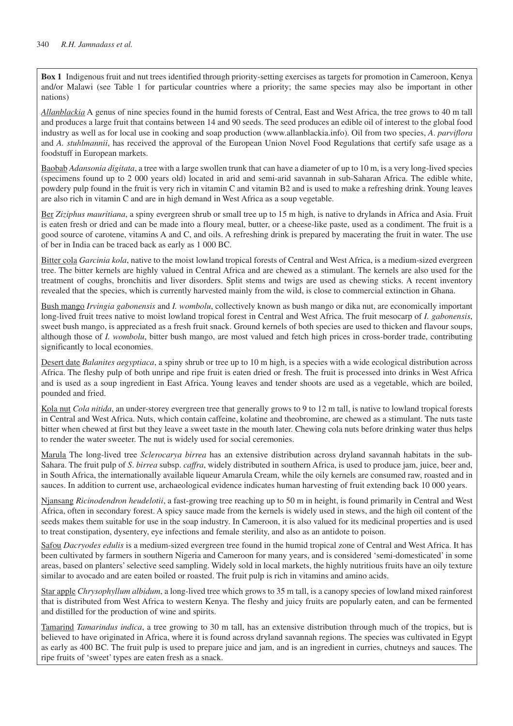**Box 1** Indigenous fruit and nut trees identified through priority-setting exercises as targets for promotion in Cameroon, Kenya and/or Malawi (see Table 1 for particular countries where a priority; the same species may also be important in other nations)

*Allanblackia* A genus of nine species found in the humid forests of Central, East and West Africa, the tree grows to 40 m tall and produces a large fruit that contains between 14 and 90 seeds. The seed produces an edible oil of interest to the global food industry as well as for local use in cooking and soap production (www.allanblackia.info). Oil from two species, *A*. *parviflora* and *A. stuhlmannii*, has received the approval of the European Union Novel Food Regulations that certify safe usage as a foodstuff in European markets.

Baobab *Adansonia digitata*, a tree with a large swollen trunk that can have a diameter of up to 10 m, is a very long-lived species (specimens found up to 2 000 years old) located in arid and semi-arid savannah in sub-Saharan Africa. The edible white, powdery pulp found in the fruit is very rich in vitamin C and vitamin B2 and is used to make a refreshing drink. Young leaves are also rich in vitamin C and are in high demand in West Africa as a soup vegetable.

Ber *Ziziphus mauritiana*, a spiny evergreen shrub or small tree up to 15 m high, is native to drylands in Africa and Asia. Fruit is eaten fresh or dried and can be made into a floury meal, butter, or a cheese-like paste, used as a condiment. The fruit is a good source of carotene, vitamins A and C, and oils. A refreshing drink is prepared by macerating the fruit in water. The use of ber in India can be traced back as early as 1 000 BC.

Bitter cola *Garcinia kola*, native to the moist lowland tropical forests of Central and West Africa, is a medium-sized evergreen tree. The bitter kernels are highly valued in Central Africa and are chewed as a stimulant. The kernels are also used for the treatment of coughs, bronchitis and liver disorders. Split stems and twigs are used as chewing sticks. A recent inventory revealed that the species, which is currently harvested mainly from the wild, is close to commercial extinction in Ghana.

Bush mango *Irvingia gabonensis* and *I. wombolu*, collectively known as bush mango or dika nut, are economically important long-lived fruit trees native to moist lowland tropical forest in Central and West Africa. The fruit mesocarp of *I. gabonensis*, sweet bush mango, is appreciated as a fresh fruit snack. Ground kernels of both species are used to thicken and flavour soups, although those of *I. wombolu*, bitter bush mango, are most valued and fetch high prices in cross-border trade, contributing significantly to local economies.

Desert date *Balanites aegyptiaca*, a spiny shrub or tree up to 10 m high, is a species with a wide ecological distribution across Africa. The fleshy pulp of both unripe and ripe fruit is eaten dried or fresh. The fruit is processed into drinks in West Africa and is used as a soup ingredient in East Africa. Young leaves and tender shoots are used as a vegetable, which are boiled, pounded and fried.

Kola nut *Cola nitida*, an under-storey evergreen tree that generally grows to 9 to 12 m tall, is native to lowland tropical forests in Central and West Africa. Nuts, which contain caffeine, kolatine and theobromine, are chewed as a stimulant. The nuts taste bitter when chewed at first but they leave a sweet taste in the mouth later. Chewing cola nuts before drinking water thus helps to render the water sweeter. The nut is widely used for social ceremonies.

Marula The long-lived tree *Sclerocarya birrea* has an extensive distribution across dryland savannah habitats in the sub-Sahara. The fruit pulp of *S*. *birrea* subsp. *caffra*, widely distributed in southern Africa, is used to produce jam, juice, beer and, in South Africa, the internationally available liqueur Amarula Cream, while the oily kernels are consumed raw, roasted and in sauces. In addition to current use, archaeological evidence indicates human harvesting of fruit extending back 10 000 years.

Njansang *Ricinodendron heudelotii*, a fast-growing tree reaching up to 50 m in height, is found primarily in Central and West Africa, often in secondary forest. A spicy sauce made from the kernels is widely used in stews, and the high oil content of the seeds makes them suitable for use in the soap industry. In Cameroon, it is also valued for its medicinal properties and is used to treat constipation, dysentery, eye infections and female sterility, and also as an antidote to poison.

Safou *Dacryodes edulis* is a medium-sized evergreen tree found in the humid tropical zone of Central and West Africa. It has been cultivated by farmers in southern Nigeria and Cameroon for many years, and is considered 'semi-domesticated' in some areas, based on planters' selective seed sampling. Widely sold in local markets, the highly nutritious fruits have an oily texture similar to avocado and are eaten boiled or roasted. The fruit pulp is rich in vitamins and amino acids.

Star apple *Chrysophyllum albidum*, a long-lived tree which grows to 35 m tall, is a canopy species of lowland mixed rainforest that is distributed from West Africa to western Kenya. The fleshy and juicy fruits are popularly eaten, and can be fermented and distilled for the production of wine and spirits.

Tamarind *Tamarindus indica*, a tree growing to 30 m tall, has an extensive distribution through much of the tropics, but is believed to have originated in Africa, where it is found across dryland savannah regions. The species was cultivated in Egypt as early as 400 BC. The fruit pulp is used to prepare juice and jam, and is an ingredient in curries, chutneys and sauces. The ripe fruits of 'sweet' types are eaten fresh as a snack.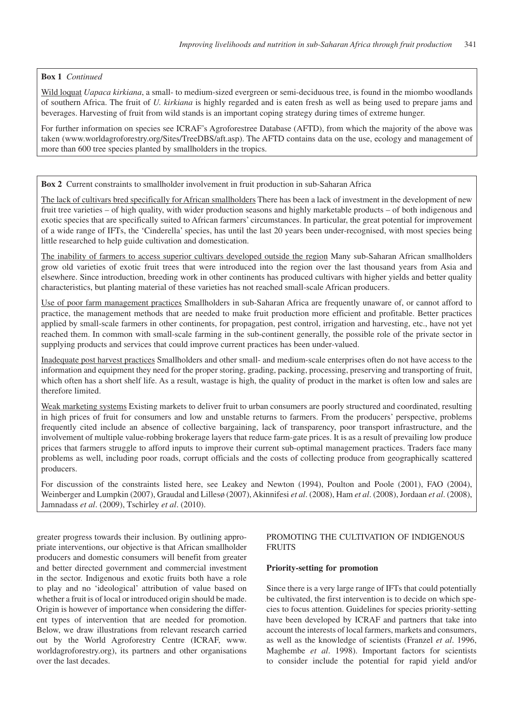# **Box 1** *Continued*

Wild loquat *Uapaca kirkiana*, a small- to medium-sized evergreen or semi-deciduous tree, is found in the miombo woodlands of southern Africa. The fruit of *U. kirkiana* is highly regarded and is eaten fresh as well as being used to prepare jams and beverages. Harvesting of fruit from wild stands is an important coping strategy during times of extreme hunger.

For further information on species see ICRAF's Agroforestree Database (AFTD), from which the majority of the above was taken (www.worldagroforestry.org/Sites/TreeDBS/aft.asp). The AFTD contains data on the use, ecology and management of more than 600 tree species planted by smallholders in the tropics.

# **Box 2** Current constraints to smallholder involvement in fruit production in sub-Saharan Africa

The lack of cultivars bred specifically for African smallholders There has been a lack of investment in the development of new fruit tree varieties – of high quality, with wider production seasons and highly marketable products – of both indigenous and exotic species that are specifically suited to African farmers' circumstances. In particular, the great potential for improvement of a wide range of IFTs, the 'Cinderella' species, has until the last 20 years been under-recognised, with most species being little researched to help guide cultivation and domestication.

The inability of farmers to access superior cultivars developed outside the region Many sub-Saharan African smallholders grow old varieties of exotic fruit trees that were introduced into the region over the last thousand years from Asia and elsewhere. Since introduction, breeding work in other continents has produced cultivars with higher yields and better quality characteristics, but planting material of these varieties has not reached small-scale African producers.

Use of poor farm management practices Smallholders in sub-Saharan Africa are frequently unaware of, or cannot afford to practice, the management methods that are needed to make fruit production more efficient and profitable. Better practices applied by small-scale farmers in other continents, for propagation, pest control, irrigation and harvesting, etc., have not yet reached them. In common with small-scale farming in the sub-continent generally, the possible role of the private sector in supplying products and services that could improve current practices has been under-valued.

Inadequate post harvest practices Smallholders and other small- and medium-scale enterprises often do not have access to the information and equipment they need for the proper storing, grading, packing, processing, preserving and transporting of fruit, which often has a short shelf life. As a result, wastage is high, the quality of product in the market is often low and sales are therefore limited.

Weak marketing systems Existing markets to deliver fruit to urban consumers are poorly structured and coordinated, resulting in high prices of fruit for consumers and low and unstable returns to farmers. From the producers' perspective, problems frequently cited include an absence of collective bargaining, lack of transparency, poor transport infrastructure, and the involvement of multiple value-robbing brokerage layers that reduce farm-gate prices. It is as a result of prevailing low produce prices that farmers struggle to afford inputs to improve their current sub-optimal management practices. Traders face many problems as well, including poor roads, corrupt officials and the costs of collecting produce from geographically scattered producers.

For discussion of the constraints listed here, see Leakey and Newton (1994), Poulton and Poole (2001), FAO (2004), Weinberger and Lumpkin (2007), Graudal and Lillesø (2007), Akinnifesi *et al*. (2008), Ham *et al*. (2008), Jordaan *et al*. (2008), Jamnadass *et al*. (2009), Tschirley *et al*. (2010).

greater progress towards their inclusion. By outlining appropriate interventions, our objective is that African smallholder producers and domestic consumers will benefit from greater and better directed government and commercial investment in the sector. Indigenous and exotic fruits both have a role to play and no 'ideological' attribution of value based on whether a fruit is of local or introduced origin should be made. Origin is however of importance when considering the different types of intervention that are needed for promotion. Below, we draw illustrations from relevant research carried out by the World Agroforestry Centre (ICRAF, www. worldagroforestry.org), its partners and other organisations over the last decades.

## PROMOTING THE CULTIVATION OF INDIGENOUS FRUITS

#### **Priority-setting for promotion**

Since there is a very large range of IFTs that could potentially be cultivated, the first intervention is to decide on which species to focus attention. Guidelines for species priority-setting have been developed by ICRAF and partners that take into account the interests of local farmers, markets and consumers, as well as the knowledge of scientists (Franzel *et al*. 1996, Maghembe *et al*. 1998). Important factors for scientists to consider include the potential for rapid yield and/or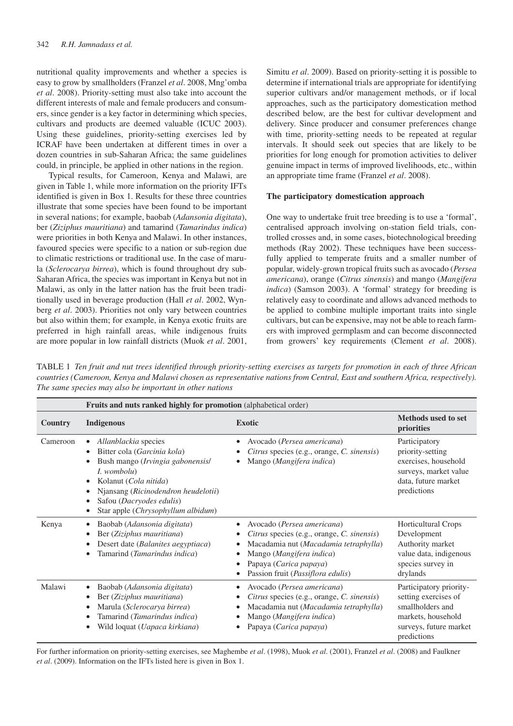nutritional quality improvements and whether a species is easy to grow by smallholders (Franzel *et al*. 2008, Mng'omba *et al*. 2008). Priority-setting must also take into account the different interests of male and female producers and consumers, since gender is a key factor in determining which species, cultivars and products are deemed valuable (ICUC 2003). Using these guidelines, priority-setting exercises led by ICRAF have been undertaken at different times in over a dozen countries in sub-Saharan Africa; the same guidelines could, in principle, be applied in other nations in the region.

Typical results, for Cameroon, Kenya and Malawi, are given in Table 1, while more information on the priority IFTs identified is given in Box 1. Results for these three countries illustrate that some species have been found to be important in several nations; for example, baobab (*Adansonia digitata*), ber (*Ziziphus mauritiana*) and tamarind (*Tamarindus indica*) were priorities in both Kenya and Malawi. In other instances, favoured species were specific to a nation or sub-region due to climatic restrictions or traditional use. In the case of marula (*Sclerocarya birrea*), which is found throughout dry sub-Saharan Africa, the species was important in Kenya but not in Malawi, as only in the latter nation has the fruit been traditionally used in beverage production (Hall *et al*. 2002, Wynberg *et al*. 2003). Priorities not only vary between countries but also within them; for example, in Kenya exotic fruits are preferred in high rainfall areas, while indigenous fruits are more popular in low rainfall districts (Muok *et al*. 2001, Simitu *et al*. 2009). Based on priority-setting it is possible to determine if international trials are appropriate for identifying superior cultivars and/or management methods, or if local approaches, such as the participatory domestication method described below, are the best for cultivar development and delivery. Since producer and consumer preferences change with time, priority-setting needs to be repeated at regular intervals. It should seek out species that are likely to be priorities for long enough for promotion activities to deliver genuine impact in terms of improved livelihoods, etc., within an appropriate time frame (Franzel *et al*. 2008).

### **The participatory domestication approach**

One way to undertake fruit tree breeding is to use a 'formal', centralised approach involving on-station field trials, controlled crosses and, in some cases, biotechnological breeding methods (Ray 2002). These techniques have been successfully applied to temperate fruits and a smaller number of popular, widely-grown tropical fruits such as avocado (*Persea americana*), orange (*Citrus sinensis*) and mango (*Mangifera indica*) (Samson 2003). A 'formal' strategy for breeding is relatively easy to coordinate and allows advanced methods to be applied to combine multiple important traits into single cultivars, but can be expensive, may not be able to reach farmers with improved germplasm and can become disconnected from growers' key requirements (Clement *et al*. 2008).

TABLE 1 *Ten fruit and nut trees identified through priority-setting exercises as targets for promotion in each of three African countries (Cameroon, Kenya and Malawi chosen as representative nations from Central, East and southern Africa, respectively). The same species may also be important in other nations*

|                | Fruits and nuts ranked highly for promotion (alphabetical order)                                                                                                                                                                                             |                                                                                                                                                                                                                       |                                                                                                                                    |  |  |  |  |  |
|----------------|--------------------------------------------------------------------------------------------------------------------------------------------------------------------------------------------------------------------------------------------------------------|-----------------------------------------------------------------------------------------------------------------------------------------------------------------------------------------------------------------------|------------------------------------------------------------------------------------------------------------------------------------|--|--|--|--|--|
| <b>Country</b> | <b>Indigenous</b>                                                                                                                                                                                                                                            | <b>Exotic</b>                                                                                                                                                                                                         | <b>Methods used to set</b><br>priorities                                                                                           |  |  |  |  |  |
| Cameroon       | Allanblackia species<br>$\bullet$<br>Bitter cola (Garcinia kola)<br>Bush mango (Irvingia gabonensis/<br><i>I.</i> wombolu)<br>Kolanut (Cola nitida)<br>Njansang (Ricinodendron heudelotii)<br>Safou (Dacryodes edulis)<br>Star apple (Chrysophyllum albidum) | Avocado (Persea americana)<br>Citrus species (e.g., orange, C. sinensis)<br>Mango (Mangifera indica)                                                                                                                  | Participatory<br>priority-setting<br>exercises, household<br>surveys, market value<br>data, future market<br>predictions           |  |  |  |  |  |
| Kenya          | Baobab (Adansonia digitata)<br>Ber (Ziziphus mauritiana)<br>Desert date (Balanites aegyptiaca)<br>Tamarind (Tamarindus indica)                                                                                                                               | Avocado (Persea americana)<br>Citrus species (e.g., orange, C. sinensis)<br>Macadamia nut (Macadamia tetraphylla)<br>Mango (Mangifera indica)<br>Papaya (Carica papaya)<br>Passion fruit ( <i>Passiflora edulis</i> ) | <b>Horticultural Crops</b><br>Development<br>Authority market<br>value data, indigenous<br>species survey in<br>drylands           |  |  |  |  |  |
| Malawi         | Baobab (Adansonia digitata)<br>Ber (Ziziphus mauritiana)<br>Marula (Sclerocarya birrea)<br>Tamarind (Tamarindus indica)<br>Wild loquat ( <i>Uapaca kirkiana</i> )                                                                                            | Avocado (Persea americana)<br>Citrus species (e.g., orange, C. sinensis)<br>Macadamia nut (Macadamia tetraphylla)<br>Mango (Mangifera indica)<br>Papaya (Carica papaya)                                               | Participatory priority-<br>setting exercises of<br>smallholders and<br>markets, household<br>surveys, future market<br>predictions |  |  |  |  |  |

For further information on priority-setting exercises, see Maghembe *et al*. (1998), Muok *et al*. (2001), Franzel *et al*. (2008) and Faulkner *et al*. (2009). Information on the IFTs listed here is given in Box 1.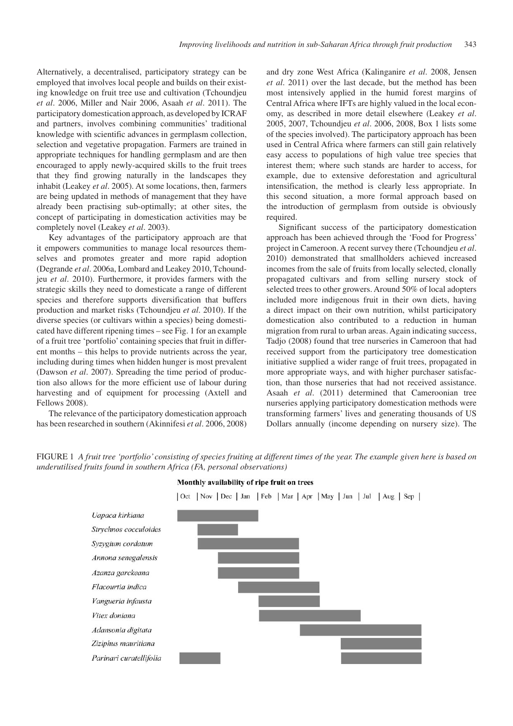Alternatively, a decentralised, participatory strategy can be employed that involves local people and builds on their existing knowledge on fruit tree use and cultivation (Tchoundjeu *et al*. 2006, Miller and Nair 2006, Asaah *et al*. 2011). The participatory domestication approach, as developed by ICRAF and partners, involves combining communities' traditional knowledge with scientific advances in germplasm collection, selection and vegetative propagation. Farmers are trained in appropriate techniques for handling germplasm and are then encouraged to apply newly-acquired skills to the fruit trees that they find growing naturally in the landscapes they inhabit (Leakey *et al*. 2005). At some locations, then, farmers are being updated in methods of management that they have already been practising sub-optimally; at other sites, the concept of participating in domestication activities may be completely novel (Leakey *et al*. 2003).

Key advantages of the participatory approach are that it empowers communities to manage local resources themselves and promotes greater and more rapid adoption (Degrande *et al*. 2006a, Lombard and Leakey 2010, Tchoundjeu *et al*. 2010). Furthermore, it provides farmers with the strategic skills they need to domesticate a range of different species and therefore supports diversification that buffers production and market risks (Tchoundjeu *et al*. 2010). If the diverse species (or cultivars within a species) being domesticated have different ripening times – see Fig. 1 for an example of a fruit tree 'portfolio' containing species that fruit in different months – this helps to provide nutrients across the year, including during times when hidden hunger is most prevalent (Dawson *et al*. 2007). Spreading the time period of production also allows for the more efficient use of labour during harvesting and of equipment for processing (Axtell and Fellows 2008).

The relevance of the participatory domestication approach has been researched in southern (Akinnifesi *et al*. 2006, 2008)

and dry zone West Africa (Kalinganire *et al*. 2008, Jensen *et al*. 2011) over the last decade, but the method has been most intensively applied in the humid forest margins of Central Africa where IFTs are highly valued in the local economy, as described in more detail elsewhere (Leakey *et al*. 2005, 2007, Tchoundjeu *et al*. 2006, 2008, Box 1 lists some of the species involved). The participatory approach has been used in Central Africa where farmers can still gain relatively easy access to populations of high value tree species that interest them; where such stands are harder to access, for example, due to extensive deforestation and agricultural intensification, the method is clearly less appropriate. In this second situation, a more formal approach based on the introduction of germplasm from outside is obviously required.

Significant success of the participatory domestication approach has been achieved through the 'Food for Progress' project in Cameroon. A recent survey there (Tchoundjeu *et al*. 2010) demonstrated that smallholders achieved increased incomes from the sale of fruits from locally selected, clonally propagated cultivars and from selling nursery stock of selected trees to other growers. Around 50% of local adopters included more indigenous fruit in their own diets, having a direct impact on their own nutrition, whilst participatory domestication also contributed to a reduction in human migration from rural to urban areas. Again indicating success, Tadjo (2008) found that tree nurseries in Cameroon that had received support from the participatory tree domestication initiative supplied a wider range of fruit trees, propagated in more appropriate ways, and with higher purchaser satisfaction, than those nurseries that had not received assistance. Asaah *et al*. (2011) determined that Cameroonian tree nurseries applying participatory domestication methods were transforming farmers' lives and generating thousands of US Dollars annually (income depending on nursery size). The



Monthly availability of ripe fruit on trees

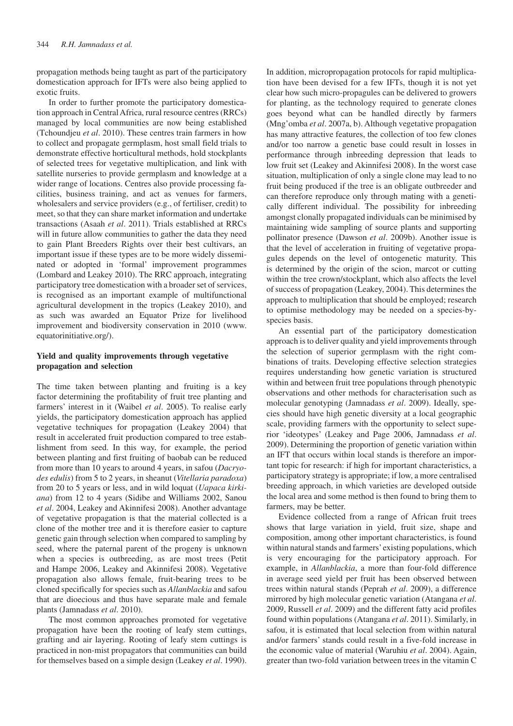propagation methods being taught as part of the participatory domestication approach for IFTs were also being applied to exotic fruits.

In order to further promote the participatory domestication approach in Central Africa, rural resource centres (RRCs) managed by local communities are now being established (Tchoundjeu *et al*. 2010). These centres train farmers in how to collect and propagate germplasm, host small field trials to demonstrate effective horticultural methods, hold stockplants of selected trees for vegetative multiplication, and link with satellite nurseries to provide germplasm and knowledge at a wider range of locations. Centres also provide processing facilities, business training, and act as venues for farmers, wholesalers and service providers (e.g., of fertiliser, credit) to meet, so that they can share market information and undertake transactions (Asaah *et al*. 2011). Trials established at RRCs will in future allow communities to gather the data they need to gain Plant Breeders Rights over their best cultivars, an important issue if these types are to be more widely disseminated or adopted in 'formal' improvement programmes (Lombard and Leakey 2010). The RRC approach, integrating participatory tree domestication with a broader set of services, is recognised as an important example of multifunctional agricultural development in the tropics (Leakey 2010), and as such was awarded an Equator Prize for livelihood improvement and biodiversity conservation in 2010 (www. equatorinitiative.org/).

# **Yield and quality improvements through vegetative propagation and selection**

The time taken between planting and fruiting is a key factor determining the profitability of fruit tree planting and farmers' interest in it (Waibel *et al*. 2005). To realise early yields, the participatory domestication approach has applied vegetative techniques for propagation (Leakey 2004) that result in accelerated fruit production compared to tree establishment from seed. In this way, for example, the period between planting and first fruiting of baobab can be reduced from more than 10 years to around 4 years, in safou (*Dacryodes edulis*) from 5 to 2 years, in sheanut (*Vitellaria paradoxa*) from 20 to 5 years or less, and in wild loquat (*Uapaca kirkiana*) from 12 to 4 years (Sidibe and Williams 2002, Sanou *et al*. 2004, Leakey and Akinnifesi 2008). Another advantage of vegetative propagation is that the material collected is a clone of the mother tree and it is therefore easier to capture genetic gain through selection when compared to sampling by seed, where the paternal parent of the progeny is unknown when a species is outbreeding, as are most trees (Petit and Hampe 2006, Leakey and Akinnifesi 2008). Vegetative propagation also allows female, fruit-bearing trees to be cloned specifically for species such as *Allanblackia* and safou that are dioecious and thus have separate male and female plants (Jamnadass *et al*. 2010).

The most common approaches promoted for vegetative propagation have been the rooting of leafy stem cuttings, grafting and air layering. Rooting of leafy stem cuttings is practiced in non-mist propagators that communities can build for themselves based on a simple design (Leakey *et al*. 1990). In addition, micropropagation protocols for rapid multiplication have been devised for a few IFTs, though it is not yet clear how such micro-propagules can be delivered to growers for planting, as the technology required to generate clones goes beyond what can be handled directly by farmers (Mng'omba *et al*. 2007a, b). Although vegetative propagation has many attractive features, the collection of too few clones and/or too narrow a genetic base could result in losses in performance through inbreeding depression that leads to low fruit set (Leakey and Akinnifesi 2008). In the worst case situation, multiplication of only a single clone may lead to no fruit being produced if the tree is an obligate outbreeder and can therefore reproduce only through mating with a genetically different individual. The possibility for inbreeding amongst clonally propagated individuals can be minimised by maintaining wide sampling of source plants and supporting pollinator presence (Dawson *et al*. 2009b). Another issue is that the level of acceleration in fruiting of vegetative propagules depends on the level of ontogenetic maturity. This is determined by the origin of the scion, marcot or cutting within the tree crown/stockplant, which also affects the level of success of propagation (Leakey, 2004). This determines the approach to multiplication that should be employed; research to optimise methodology may be needed on a species-byspecies basis.

An essential part of the participatory domestication approach is to deliver quality and yield improvements through the selection of superior germplasm with the right combinations of traits. Developing effective selection strategies requires understanding how genetic variation is structured within and between fruit tree populations through phenotypic observations and other methods for characterisation such as molecular genotyping (Jamnadass *et al*. 2009). Ideally, species should have high genetic diversity at a local geographic scale, providing farmers with the opportunity to select superior 'ideotypes' (Leakey and Page 2006, Jamnadass *et al*. 2009). Determining the proportion of genetic variation within an IFT that occurs within local stands is therefore an important topic for research: if high for important characteristics, a participatory strategy is appropriate; if low, a more centralised breeding approach, in which varieties are developed outside the local area and some method is then found to bring them to farmers, may be better.

Evidence collected from a range of African fruit trees shows that large variation in yield, fruit size, shape and composition, among other important characteristics, is found within natural stands and farmers' existing populations, which is very encouraging for the participatory approach. For example, in *Allanblackia*, a more than four-fold difference in average seed yield per fruit has been observed between trees within natural stands (Peprah *et al*. 2009), a difference mirrored by high molecular genetic variation (Atangana *et al*. 2009, Russell *et al*. 2009) and the different fatty acid profiles found within populations (Atangana *et al*. 2011). Similarly, in safou, it is estimated that local selection from within natural and/or farmers' stands could result in a five-fold increase in the economic value of material (Waruhiu *et al*. 2004). Again, greater than two-fold variation between trees in the vitamin C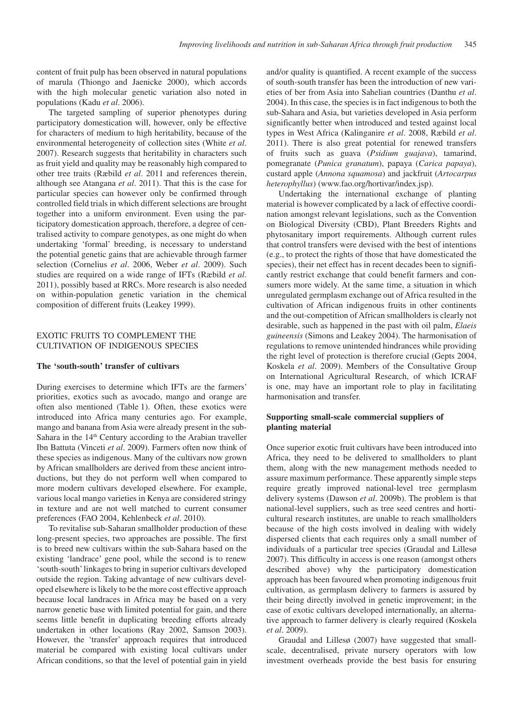content of fruit pulp has been observed in natural populations of marula (Thiongo and Jaenicke 2000), which accords with the high molecular genetic variation also noted in populations (Kadu *et al*. 2006).

The targeted sampling of superior phenotypes during participatory domestication will, however, only be effective for characters of medium to high heritability, because of the environmental heterogeneity of collection sites (White *et al*. 2007). Research suggests that heritability in characters such as fruit yield and quality may be reasonably high compared to other tree traits (Ræbild *et al*. 2011 and references therein, although see Atangana *et al*. 2011). That this is the case for particular species can however only be confirmed through controlled field trials in which different selections are brought together into a uniform environment. Even using the participatory domestication approach, therefore, a degree of centralised activity to compare genotypes, as one might do when undertaking 'formal' breeding, is necessary to understand the potential genetic gains that are achievable through farmer selection (Cornelius *et al*. 2006, Weber *et al*. 2009). Such studies are required on a wide range of IFTs (Ræbild *et al*. 2011), possibly based at RRCs. More research is also needed on within-population genetic variation in the chemical composition of different fruits (Leakey 1999).

## EXOTIC FRUITS TO COMPLEMENT THE CULTIVATION OF INDIGENOUS SPECIES

## **The 'south-south' transfer of cultivars**

During exercises to determine which IFTs are the farmers' priorities, exotics such as avocado, mango and orange are often also mentioned (Table 1). Often, these exotics were introduced into Africa many centuries ago. For example, mango and banana from Asia were already present in the sub-Sahara in the  $14<sup>th</sup>$  Century according to the Arabian traveller Ibn Battuta (Vinceti *et al*. 2009). Farmers often now think of these species as indigenous. Many of the cultivars now grown by African smallholders are derived from these ancient introductions, but they do not perform well when compared to more modern cultivars developed elsewhere. For example, various local mango varieties in Kenya are considered stringy in texture and are not well matched to current consumer preferences (FAO 2004, Kehlenbeck *et al*. 2010).

To revitalise sub-Saharan smallholder production of these long-present species, two approaches are possible. The first is to breed new cultivars within the sub-Sahara based on the existing 'landrace' gene pool, while the second is to renew 'south-south' linkages to bring in superior cultivars developed outside the region. Taking advantage of new cultivars developed elsewhere is likely to be the more cost effective approach because local landraces in Africa may be based on a very narrow genetic base with limited potential for gain, and there seems little benefit in duplicating breeding efforts already undertaken in other locations (Ray 2002, Samson 2003). However, the 'transfer' approach requires that introduced material be compared with existing local cultivars under African conditions, so that the level of potential gain in yield and/or quality is quantified. A recent example of the success of south-south transfer has been the introduction of new varieties of ber from Asia into Sahelian countries (Danthu *et al*. 2004). In this case, the species is in fact indigenous to both the sub-Sahara and Asia, but varieties developed in Asia perform significantly better when introduced and tested against local types in West Africa (Kalinganire *et al*. 2008, Ræbild *et al*. 2011). There is also great potential for renewed transfers of fruits such as guava (*Psidium guajava*), tamarind, pomegranate (*Punica granatum*), papaya (*Carica papaya*), custard apple (*Annona squamosa*) and jackfruit (*Artocarpus heterophyllus*) (www.fao.org/hortivar/index.jsp).

Undertaking the international exchange of planting material is however complicated by a lack of effective coordination amongst relevant legislations, such as the Convention on Biological Diversity (CBD), Plant Breeders Rights and phytosanitary import requirements. Although current rules that control transfers were devised with the best of intentions (e.g., to protect the rights of those that have domesticated the species), their net effect has in recent decades been to significantly restrict exchange that could benefit farmers and consumers more widely. At the same time, a situation in which unregulated germplasm exchange out of Africa resulted in the cultivation of African indigenous fruits in other continents and the out-competition of African smallholders is clearly not desirable, such as happened in the past with oil palm, *Elaeis guineensis* (Simons and Leakey 2004). The harmonisation of regulations to remove unintended hindrances while providing the right level of protection is therefore crucial (Gepts 2004, Koskela *et al*. 2009). Members of the Consultative Group on International Agricultural Research, of which ICRAF is one, may have an important role to play in facilitating harmonisation and transfer.

#### **Supporting small-scale commercial suppliers of planting material**

Once superior exotic fruit cultivars have been introduced into Africa, they need to be delivered to smallholders to plant them, along with the new management methods needed to assure maximum performance. These apparently simple steps require greatly improved national-level tree germplasm delivery systems (Dawson *et al*. 2009b). The problem is that national-level suppliers, such as tree seed centres and horticultural research institutes, are unable to reach smallholders because of the high costs involved in dealing with widely dispersed clients that each requires only a small number of individuals of a particular tree species (Graudal and Lillesø 2007). This difficulty in access is one reason (amongst others described above) why the participatory domestication approach has been favoured when promoting indigenous fruit cultivation, as germplasm delivery to farmers is assured by their being directly involved in genetic improvement; in the case of exotic cultivars developed internationally, an alternative approach to farmer delivery is clearly required (Koskela *et al*. 2009).

Graudal and Lillesø (2007) have suggested that smallscale, decentralised, private nursery operators with low investment overheads provide the best basis for ensuring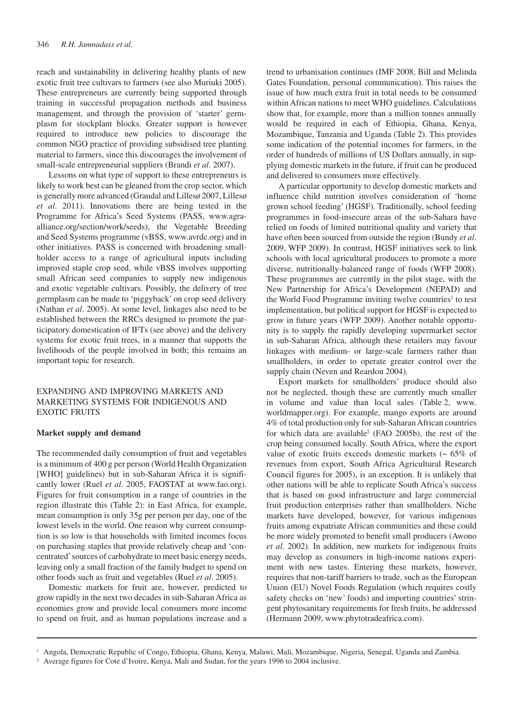reach and sustainability in delivering healthy plants of new exotic fruit tree cultivars to farmers (see also Muriuki 2005). These entrepreneurs are currently being supported through training in successful propagation methods and business management, and through the provision of 'starter' germplasm for stockplant blocks. Greater support is however required to introduce new policies to discourage the common NGO practice of providing subsidised tree planting material to farmers, since this discourages the involvement of small-scale entrepreneurial suppliers (Brandi *et al*. 2007).

Lessons on what type of support to these entrepreneurs is likely to work best can be gleaned from the crop sector, which is generally more advanced (Graudal and Lillesø 2007, Lillesø *et al*. 2011). Innovations there are being tested in the Programme for Africa's Seed Systems (PASS, www.agraalliance.org/section/work/seeds), the Vegetable Breeding and Seed Systems programme (vBSS, www.avrdc.org) and in other initiatives. PASS is concerned with broadening smallholder access to a range of agricultural inputs including improved staple crop seed, while vBSS involves supporting small African seed companies to supply new indigenous and exotic vegetable cultivars. Possibly, the delivery of tree germplasm can be made to 'piggyback' on crop seed delivery (Nathan *et al*. 2005). At some level, linkages also need to be established between the RRCs designed to promote the participatory domestication of IFTs (see above) and the delivery systems for exotic fruit trees, in a manner that supports the livelihoods of the people involved in both; this remains an important topic for research.

# EXPANDING AND IMPROVING MARKETS AND MARKETING SYSTEMS FOR INDIGENOUS AND EXOTIC FRUITS

#### **Market supply and demand**

The recommended daily consumption of fruit and vegetables is a minimum of 400 g per person (World Health Organization [WHO] guidelines) but in sub-Saharan Africa it is significantly lower (Ruel *et al*. 2005, FAOSTAT at www.fao.org). Figures for fruit consumption in a range of countries in the region illustrate this (Table 2): in East Africa, for example, mean consumption is only 35g per person per day, one of the lowest levels in the world. One reason why current consumption is so low is that households with limited incomes focus on purchasing staples that provide relatively cheap and 'concentrated' sources of carbohydrate to meet basic energy needs, leaving only a small fraction of the family budget to spend on other foods such as fruit and vegetables (Ruel *et al*. 2005).

Domestic markets for fruit are, however, predicted to grow rapidly in the next two decades in sub-Saharan Africa as economies grow and provide local consumers more income to spend on fruit, and as human populations increase and a

trend to urbanisation continues (IMF 2008, Bill and Melinda Gates Foundation, personal communication). This raises the issue of how much extra fruit in total needs to be consumed within African nations to meet WHO guidelines. Calculations show that, for example, more than a million tonnes annually would be required in each of Ethiopia, Ghana, Kenya, Mozambique, Tanzania and Uganda (Table 2). This provides some indication of the potential incomes for farmers, in the order of hundreds of millions of US Dollars annually, in supplying domestic markets in the future, if fruit can be produced and delivered to consumers more effectively.

A particular opportunity to develop domestic markets and influence child nutrition involves consideration of 'home grown school feeding' (HGSF). Traditionally, school feeding programmes in food-insecure areas of the sub-Sahara have relied on foods of limited nutritional quality and variety that have often been sourced from outside the region (Bundy *et al*. 2009, WFP 2009). In contrast, HGSF initiatives seek to link schools with local agricultural producers to promote a more diverse, nutritionally-balanced range of foods (WFP 2008). These programmes are currently in the pilot stage, with the New Partnership for Africa's Development (NEPAD) and the World Food Programme inviting twelve countries<sup>1</sup> to test implementation, but political support for HGSF is expected to grow in future years (WFP 2009). Another notable opportunity is to supply the rapidly developing supermarket sector in sub-Saharan Africa, although these retailers may favour linkages with medium- or large-scale farmers rather than smallholders, in order to operate greater control over the supply chain (Neven and Reardon 2004).

Export markets for smallholders' produce should also not be neglected, though these are currently much smaller in volume and value than local sales (Table 2, www. worldmapper.org). For example, mango exports are around 4% of total production only for sub-Saharan African countries for which data are available<sup>2</sup> (FAO 2005b), the rest of the crop being consumed locally. South Africa, where the export value of exotic fruits exceeds domestic markets  $($   $\sim 65\%$  of revenues from export, South Africa Agricultural Research Council figures for 2005), is an exception. It is unlikely that other nations will be able to replicate South Africa's success that is based on good infrastructure and large commercial fruit production enterprises rather than smallholders. Niche markets have developed, however, for various indigenous fruits among expatriate African communities and these could be more widely promoted to benefit small producers (Awono *et al*. 2002). In addition, new markets for indigenous fruits may develop as consumers in high-income nations experiment with new tastes. Entering these markets, however, requires that non-tariff barriers to trade, such as the European Union (EU) Novel Foods Regulation (which requires costly safety checks on 'new' foods) and importing countries' stringent phytosanitary requirements for fresh fruits, be addressed (Hermann 2009, www.phytotradeafrica.com).

<sup>&</sup>lt;sup>1</sup> Angola, Democratic Republic of Congo, Ethiopia, Ghana, Kenya, Malawi, Mali, Mozambique, Nigeria, Senegal, Uganda and Zambia.

<sup>2</sup> Average figures for Cote d'Ivoire, Kenya, Mali and Sudan, for the years 1996 to 2004 inclusive.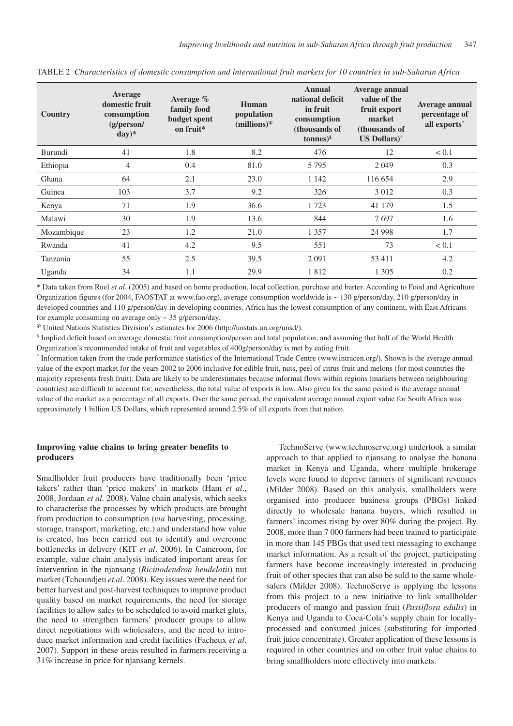| Country    | Average<br>domestic fruit<br>consumption<br>(g/person/<br>$day)*$ | Average $%$<br>family food<br>budget spent<br>on fruit* | Human<br>population<br>(millions) <sup><math>\varphi</math></sup> | <b>Annual</b><br>national deficit<br>in fruit<br>consumption<br>(thousands of<br>$t$ onnes $)^s$ | Average annual<br>value of the<br>fruit export<br>market<br>(thousands of<br><b>US Dollars</b> ) <sup>^</sup> | Average annual<br>percentage of<br>all exports <sup>^</sup> |
|------------|-------------------------------------------------------------------|---------------------------------------------------------|-------------------------------------------------------------------|--------------------------------------------------------------------------------------------------|---------------------------------------------------------------------------------------------------------------|-------------------------------------------------------------|
| Burundi    | 41                                                                | 1.8                                                     | 8.2                                                               | 476                                                                                              | 12                                                                                                            | < 0.1                                                       |
| Ethiopia   | 4                                                                 | 0.4                                                     | 81.0                                                              | 5 7 9 5                                                                                          | 2049                                                                                                          | 0.3                                                         |
| Ghana      | 64                                                                | 2.1                                                     | 23.0                                                              | 1 1 4 2                                                                                          | 116 654                                                                                                       | 2.9                                                         |
| Guinea     | 103                                                               | 3.7                                                     | 9.2                                                               | 326                                                                                              | 3 0 1 2                                                                                                       | 0.3                                                         |
| Kenya      | 71                                                                | 1.9                                                     | 36.6                                                              | 1723                                                                                             | 41 179                                                                                                        | 1.5                                                         |
| Malawi     | 30                                                                | 1.9                                                     | 13.6                                                              | 844                                                                                              | 7697                                                                                                          | 1.6                                                         |
| Mozambique | 23                                                                | 1.2                                                     | 21.0                                                              | 1 3 5 7                                                                                          | 24 9 98                                                                                                       | 1.7                                                         |
| Rwanda     | 41                                                                | 4.2                                                     | 9.5                                                               | 551                                                                                              | 73                                                                                                            | < 0.1                                                       |
| Tanzania   | 55                                                                | 2.5                                                     | 39.5                                                              | 2 0 9 1                                                                                          | 53 411                                                                                                        | 4.2                                                         |
| Uganda     | 34                                                                | 1.1                                                     | 29.9                                                              | 1812                                                                                             | 1 3 0 5                                                                                                       | 0.2                                                         |

TABLE 2 *Characteristics of domestic consumption and international fruit markets for 10 countries in sub-Saharan Africa*

\* Data taken from Ruel *et al*. (2005) and based on home production, local collection, purchase and barter. According to Food and Agriculture Organization figures (for 2004, FAOSTAT at www.fao.org), average consumption worldwide is ~ 130 g/person/day, 210 g/person/day in developed countries and 110 g/person/day in developing countries. Africa has the lowest consumption of any continent, with East Africans for example consuming on average only  $\sim$  35 g/person/day.

<sup>ϕ</sup> United Nations Statistics Division's estimates for 2006 (http://unstats.un.org/unsd/).

<sup>\$</sup> Implied deficit based on average domestic fruit consumption/person and total population, and assuming that half of the World Health Organization's recommended intake of fruit and vegetables of 400g/person/day is met by eating fruit.

^ Information taken from the trade performance statistics of the International Trade Centre (www.intracen.org/). Shown is the average annual value of the export market for the years 2002 to 2006 inclusive for edible fruit, nuts, peel of citrus fruit and melons (for most countries the majority represents fresh fruit). Data are likely to be underestimates because informal flows within regions (markets between neighbouring countries) are difficult to account for; nevertheless, the total value of exports is low. Also given for the same period is the average annual value of the market as a percentage of all exports. Over the same period, the equivalent average annual export value for South Africa was approximately 1 billion US Dollars, which represented around 2.5% of all exports from that nation.

## **Improving value chains to bring greater benefits to producers**

Smallholder fruit producers have traditionally been 'price takers' rather than 'price makers' in markets (Ham *et al*., 2008, Jordaan *et al*. 2008). Value chain analysis, which seeks to characterise the processes by which products are brought from production to consumption (*via* harvesting, processing, storage, transport, marketing, etc.) and understand how value is created, has been carried out to identify and overcome bottlenecks in delivery (KIT *et al*. 2006). In Cameroon, for example, value chain analysis indicated important areas for intervention in the njansang (*Ricinodendron heudelotii*) nut market (Tchoundjeu *et al*. 2008). Key issues were the need for better harvest and post-harvest techniques to improve product quality based on market requirements, the need for storage facilities to allow sales to be scheduled to avoid market gluts, the need to strengthen farmers' producer groups to allow direct negotiations with wholesalers, and the need to introduce market information and credit facilities (Facheux *et al*. 2007). Support in these areas resulted in farmers receiving a 31% increase in price for njansang kernels.

TechnoServe (www.technoserve.org) undertook a similar approach to that applied to njansang to analyse the banana market in Kenya and Uganda, where multiple brokerage levels were found to deprive farmers of significant revenues (Milder 2008). Based on this analysis, smallholders were organised into producer business groups (PBGs) linked directly to wholesale banana buyers, which resulted in farmers' incomes rising by over 80% during the project. By 2008, more than 7 000 farmers had been trained to participate in more than 145 PBGs that used text messaging to exchange market information. As a result of the project, participating farmers have become increasingly interested in producing fruit of other species that can also be sold to the same wholesalers (Milder 2008). TechnoServe is applying the lessons from this project to a new initiative to link smallholder producers of mango and passion fruit (*Passiflora edulis*) in Kenya and Uganda to Coca-Cola's supply chain for locallyprocessed and consumed juices (substituting for imported fruit juice concentrate). Greater application of these lessons is required in other countries and on other fruit value chains to bring smallholders more effectively into markets.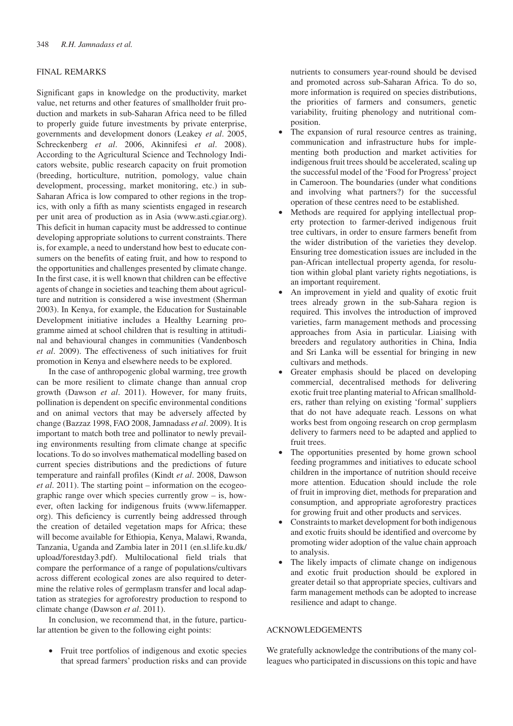#### FINAL REMARKS

Significant gaps in knowledge on the productivity, market value, net returns and other features of smallholder fruit production and markets in sub-Saharan Africa need to be filled to properly guide future investments by private enterprise, governments and development donors (Leakey *et al*. 2005, Schreckenberg *et al*. 2006, Akinnifesi *et al*. 2008). According to the Agricultural Science and Technology Indicators website, public research capacity on fruit promotion (breeding, horticulture, nutrition, pomology, value chain development, processing, market monitoring, etc.) in sub-Saharan Africa is low compared to other regions in the tropics, with only a fifth as many scientists engaged in research per unit area of production as in Asia (www.asti.cgiar.org). This deficit in human capacity must be addressed to continue developing appropriate solutions to current constraints. There is, for example, a need to understand how best to educate consumers on the benefits of eating fruit, and how to respond to the opportunities and challenges presented by climate change. In the first case, it is well known that children can be effective agents of change in societies and teaching them about agriculture and nutrition is considered a wise investment (Sherman 2003). In Kenya, for example, the Education for Sustainable Development initiative includes a Healthy Learning programme aimed at school children that is resulting in attitudinal and behavioural changes in communities (Vandenbosch *et al*. 2009). The effectiveness of such initiatives for fruit promotion in Kenya and elsewhere needs to be explored.

In the case of anthropogenic global warming, tree growth can be more resilient to climate change than annual crop growth (Dawson *et al*. 2011). However, for many fruits, pollination is dependent on specific environmental conditions and on animal vectors that may be adversely affected by change (Bazzaz 1998, FAO 2008, Jamnadass *et al*. 2009). It is important to match both tree and pollinator to newly prevailing environments resulting from climate change at specific locations. To do so involves mathematical modelling based on current species distributions and the predictions of future temperature and rainfall profiles (Kindt *et al*. 2008, Dawson *et al*. 2011). The starting point – information on the ecogeographic range over which species currently grow – is, however, often lacking for indigenous fruits (www.lifemapper. org). This deficiency is currently being addressed through the creation of detailed vegetation maps for Africa; these will become available for Ethiopia, Kenya, Malawi, Rwanda, Tanzania, Uganda and Zambia later in 2011 (en.sl.life.ku.dk/ upload/forestday3.pdf). Multilocational field trials that compare the performance of a range of populations/cultivars across different ecological zones are also required to determine the relative roles of germplasm transfer and local adaptation as strategies for agroforestry production to respond to climate change (Dawson *et al*. 2011).

In conclusion, we recommend that, in the future, particular attention be given to the following eight points:

• Fruit tree portfolios of indigenous and exotic species that spread farmers' production risks and can provide

nutrients to consumers year-round should be devised and promoted across sub-Saharan Africa. To do so, more information is required on species distributions, the priorities of farmers and consumers, genetic variability, fruiting phenology and nutritional composition.

- The expansion of rural resource centres as training, communication and infrastructure hubs for implementing both production and market activities for indigenous fruit trees should be accelerated, scaling up the successful model of the 'Food for Progress' project in Cameroon. The boundaries (under what conditions and involving what partners?) for the successful operation of these centres need to be established. •
- Methods are required for applying intellectual property protection to farmer-derived indigenous fruit tree cultivars, in order to ensure farmers benefit from the wider distribution of the varieties they develop. Ensuring tree domestication issues are included in the pan-African intellectual property agenda, for resolution within global plant variety rights negotiations, is an important requirement. •
- An improvement in yield and quality of exotic fruit trees already grown in the sub-Sahara region is required. This involves the introduction of improved varieties, farm management methods and processing approaches from Asia in particular. Liaising with breeders and regulatory authorities in China, India and Sri Lanka will be essential for bringing in new cultivars and methods. •
- Greater emphasis should be placed on developing commercial, decentralised methods for delivering exotic fruit tree planting material to African smallholders, rather than relying on existing 'formal' suppliers that do not have adequate reach. Lessons on what works best from ongoing research on crop germplasm delivery to farmers need to be adapted and applied to fruit trees. •
- The opportunities presented by home grown school feeding programmes and initiatives to educate school children in the importance of nutrition should receive more attention. Education should include the role of fruit in improving diet, methods for preparation and consumption, and appropriate agroforestry practices for growing fruit and other products and services. •
- Constraints to market development for both indigenous and exotic fruits should be identified and overcome by promoting wider adoption of the value chain approach to analysis. •
- The likely impacts of climate change on indigenous and exotic fruit production should be explored in greater detail so that appropriate species, cultivars and farm management methods can be adopted to increase resilience and adapt to change. •

## ACKNOWLEDGEMENTS

We gratefully acknowledge the contributions of the many colleagues who participated in discussions on this topic and have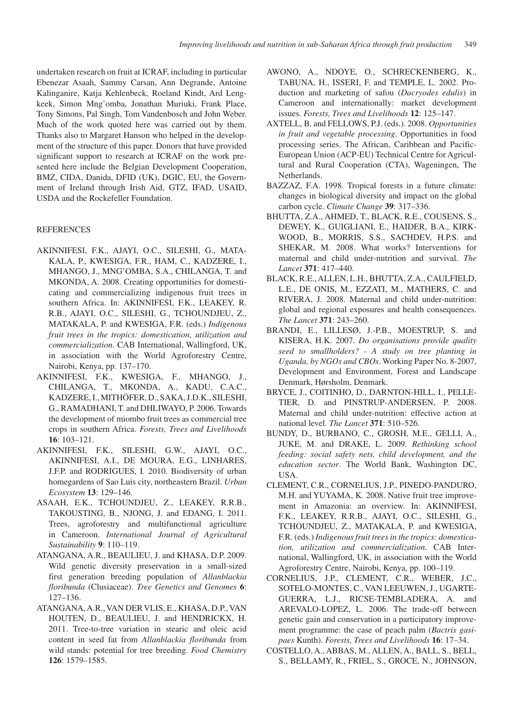undertaken research on fruit at ICRAF, including in particular Ebenezar Asaah, Sammy Carsan, Ann Degrande, Antoine Kalinganire, Katja Kehlenbeck, Roeland Kindt, Ard Lengkeek, Simon Mng'omba, Jonathan Muriuki, Frank Place, Tony Simons, Pal Singh, Tom Vandenbosch and John Weber. Much of the work quoted here was carried out by them. Thanks also to Margaret Hanson who helped in the development of the structure of this paper. Donors that have provided significant support to research at ICRAF on the work presented here include the Belgian Development Cooperation, BMZ, CIDA, Danida, DFID (UK), DGIC, EU, the Government of Ireland through Irish Aid, GTZ, IFAD, USAID, USDA and the Rockefeller Foundation.

# REFERENCES

- AKINNIFESI, F.K., AJAYI, O.C., SILESHI, G., MATA-KALA, P., KWESIGA, F.R., HAM, C., KADZERE, I., MHANGO, J., MNG'OMBA, S.A., CHILANGA, T. and MKONDA, A. 2008. Creating opportunities for domesticating and commercializing indigenous fruit trees in southern Africa. In: AKINNIFESI, F.K., LEAKEY, R. R.B., AJAYI, O.C., SILESHI, G., TCHOUNDJEU, Z., MATAKALA, P. and KWESIGA, F.R. (eds.) *Indigenous fruit trees in the tropics: domestication, utilization and commercialization*. CAB International, Wallingford, UK, in association with the World Agroforestry Centre, Nairobi, Kenya, pp. 137–170.
- AKINNIFESI, F.K., KWESIGA, F., MHANGO, J., CHILANGA, T., MKONDA, A., KADU, C.A.C., KADZERE, I., MITHÖFER, D., SAKA, J.D.K., SILESHI, G., RAMADHANI, T. and DHLIWAYO, P. 2006. Towards the development of miombo fruit trees as commercial tree crops in southern Africa. *Forests, Trees and Livelihoods* **16**: 103–121.
- AKINNIFESI, F.K., SILESHI, G.W., AJAYI, O.C., AKINNIFESI, A.I., DE MOURA, E.G., LINHARES, J.F.P. and RODRIGUES, I. 2010. Biodiversity of urban homegardens of Sao Luis city, northeastern Brazil. *Urban Ecosystem* **13**: 129–146.
- ASAAH, E.K., TCHOUNDJEU, Z., LEAKEY, R.R.B., TAKOUSTING, B., NJONG, J. and EDANG, I. 2011. Trees, agroforestry and multifunctional agriculture in Cameroon. *International Journal of Agricultural Sustainability* **9**: 110–119.
- ATANGANA, A.R., BEAULIEU, J. and KHASA, D.P. 2009. Wild genetic diversity preservation in a small-sized first generation breeding population of *Allanblackia floribunda* (Clusiaceae). *Tree Genetics and Genomes* **6**: 127–136.
- ATANGANA, A.R., VAN DER VLIS, E., KHASA, D.P., VAN HOUTEN, D., BEAULIEU, J. and HENDRICKX, H. 2011. Tree-to-tree variation in stearic and oleic acid content in seed fat from *Allanblackia floribunda* from wild stands: potential for tree breeding. *Food Chemistry* **126**: 1579–1585.
- AWONO, A., NDOYE, O., SCHRECKENBERG, K., TABUNA, H., ISSERI, F. and TEMPLE, L. 2002. Production and marketing of safou (*Dacryodes edulis*) in Cameroon and internationally: market development issues. *Forests, Trees and Livelihoods* **12**: 125–147.
- AXTELL, B. and FELLOWS, P.J. (eds.). 2008. *Opportunities in fruit and vegetable processing*. Opportunities in food processing series. The African, Caribbean and Pacific-European Union (ACP-EU) Technical Centre for Agricultural and Rural Cooperation (CTA), Wageningen, The Netherlands.
- BAZZAZ, F.A. 1998. Tropical forests in a future climate: changes in biological diversity and impact on the global carbon cycle. *Climate Change* **39**: 317–336.
- BHUTTA, Z.A., AHMED, T., BLACK, R.E., COUSENS, S., DEWEY, K., GUIGLIANI, E., HAIDER, B.A., KIRK-WOOD, B., MORRIS, S.S., SACHDEV, H.P.S. and SHEKAR, M. 2008. What works? Interventions for maternal and child under-nutrition and survival. *The Lancet* **371**: 417–440.
- BLACK, R.E., ALLEN, L.H., BHUTTA, Z.A., CAULFIELD, L.E., DE ONIS, M., EZZATI, M., MATHERS, C. and RIVERA, J. 2008. Maternal and child under-nutrition: global and regional exposures and health consequences. *The Lancet* **371**: 243–260.
- BRANDI, E., LILLESØ, J.-P.B., MOESTRUP, S. and KISERA, H.K. 2007. *Do organisations provide quality seed to smallholders? - A study on tree planting in Uganda, by NGOs and CBOs*. Working Paper No. 8-2007, Development and Environment, Forest and Landscape Denmark, Hørsholm, Denmark.
- BRYCE, J., COITINHO, D., DARNTON-HILL, I., PELLE-TIER, D. and PINSTRUP-ANDERSEN, P. 2008. Maternal and child under-nutrition: effective action at national level. *The Lancet* **371**: 510–526.
- BUNDY, D., BURBANO, C., GROSH, M.E., GELLI, A., JUKE, M. and DRAKE, L. 2009. *Rethinking school feeding: social safety nets, child development, and the education sector*. The World Bank, Washington DC, USA.
- CLEMENT, C.R., CORNELIUS, J.P., PINEDO-PANDURO, M.H. and YUYAMA, K. 2008. Native fruit tree improvement in Amazonia: an overview. In: AKINNIFESI, F.K., LEAKEY, R.R.B., AJAYI, O.C., SILESHI, G., TCHOUNDJEU, Z., MATAKALA, P. and KWESIGA, F.R. (eds.) *Indigenous fruit trees in the tropics: domestication, utilization and commercialization*. CAB International, Wallingford, UK, in association with the World Agroforestry Centre, Nairobi, Kenya, pp. 100–119.
- CORNELIUS, J.P., CLEMENT, C.R., WEBER, J.C., SOTELO-MONTES, C., VAN LEEUWEN, J., UGARTE-GUERRA, L.J., RICSE-TEMBLADERA, A. and AREVALO-LOPEZ, L. 2006. The trade-off between genetic gain and conservation in a participatory improvement programme: the case of peach palm (*Bactris gasipaes* Kunth). *Forests, Trees and Livelihoods* **16**: 17–34.
- COSTELLO, A., ABBAS, M., ALLEN, A., BALL, S., BELL, S., BELLAMY, R., FRIEL, S., GROCE, N., JOHNSON,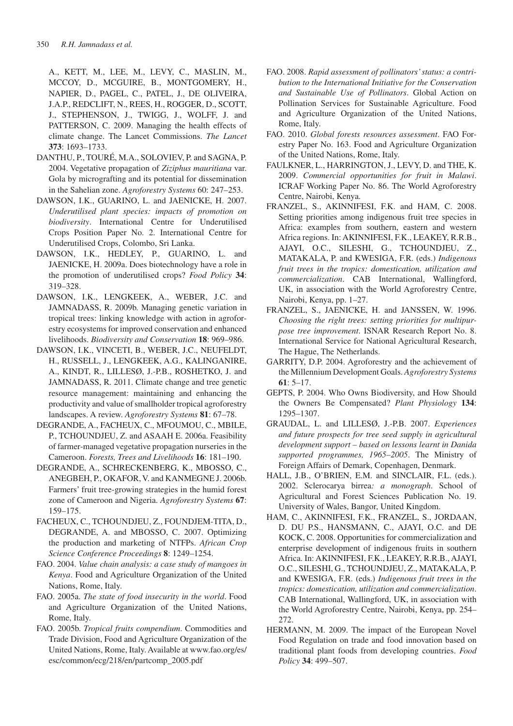A., KETT, M., LEE, M., LEVY, C., MASLIN, M., MCCOY, D., MCGUIRE, B., MONTGOMERY, H., NAPIER, D., PAGEL, C., PATEL, J., DE OLIVEIRA, J.A.P., REDCLIFT, N., REES, H., ROGGER, D., SCOTT, J., STEPHENSON, J., TWIGG, J., WOLFF, J. and PATTERSON, C. 2009. Managing the health effects of climate change. The Lancet Commissions. *The Lancet* **373**: 1693–1733.

- DANTHU, P., TOURÉ, M.A., SOLOVIEV, P. and SAGNA, P. 2004. Vegetative propagation of *Ziziphus mauritiana* var. Gola by micrografting and its potential for dissemination in the Sahelian zone. *Agroforestry Systems* 60: 247–253.
- DAWSON, I.K., GUARINO, L. and JAENICKE, H. 2007. *Underutilised plant species: impacts of promotion on biodiversity*. International Centre for Underutilised Crops Position Paper No. 2. International Centre for Underutilised Crops, Colombo, Sri Lanka.
- DAWSON, I.K., HEDLEY, P., GUARINO, L. and JAENICKE, H. 2009a. Does biotechnology have a role in the promotion of underutilised crops? *Food Policy* **34**: 319–328.
- DAWSON, I.K., LENGKEEK, A., WEBER, J.C. and JAMNADASS, R. 2009b. Managing genetic variation in tropical trees: linking knowledge with action in agroforestry ecosystems for improved conservation and enhanced livelihoods. *Biodiversity and Conservation* **18**: 969–986.
- DAWSON, I.K., VINCETI, B., WEBER, J.C., NEUFELDT, H., RUSSELL, J., LENGKEEK, A.G., KALINGANIRE, A., KINDT, R., LILLESØ, J.-P.B., ROSHETKO, J. and JAMNADASS, R. 2011. Climate change and tree genetic resource management: maintaining and enhancing the productivity and value of smallholder tropical agroforestry landscapes. A review. *Agroforestry Systems* **81**: 67–78.
- DEGRANDE, A., FACHEUX, C., MFOUMOU, C., MBILE, P., TCHOUNDJEU, Z. and ASAAH E. 2006a. Feasibility of farmer-managed vegetative propagation nurseries in the Cameroon. *Forests, Trees and Livelihoods* **16**: 181–190.
- DEGRANDE, A., SCHRECKENBERG, K., MBOSSO, C., ANEGBEH, P., OKAFOR, V. and KANMEGNE J. 2006b. Farmers' fruit tree-growing strategies in the humid forest zone of Cameroon and Nigeria. *Agroforestry Systems* **67**: 159–175.
- FACHEUX, C., TCHOUNDJEU, Z., FOUNDJEM-TITA, D., DEGRANDE, A. and MBOSSO, C. 2007. Optimizing the production and marketing of NTFPs. *African Crop Science Conference Proceedings* **8**: 1249–1254.
- FAO. 2004. *Value chain analysis: a case study of mangoes in Kenya*. Food and Agriculture Organization of the United Nations, Rome, Italy.
- FAO. 2005a. *The state of food insecurity in the world*. Food and Agriculture Organization of the United Nations, Rome, Italy.
- FAO. 2005b. *Tropical fruits compendium*. Commodities and Trade Division, Food and Agriculture Organization of the United Nations, Rome, Italy. Available at www.fao.org/es/ esc/common/ecg/218/en/partcomp\_2005.pdf
- FAO. 2008. *Rapid assessment of pollinators' status: a contribution to the International Initiative for the Conservation and Sustainable Use of Pollinators*. Global Action on Pollination Services for Sustainable Agriculture. Food and Agriculture Organization of the United Nations, Rome, Italy.
- FAO. 2010. *Global forests resources assessment*. FAO Forestry Paper No. 163. Food and Agriculture Organization of the United Nations, Rome, Italy.
- FAULKNER, L., HARRINGTON, J., LEVY, D. and THE, K. 2009. *Commercial opportunities for fruit in Malawi*. ICRAF Working Paper No. 86. The World Agroforestry Centre, Nairobi, Kenya.
- FRANZEL, S., AKINNIFESI, F.K. and HAM, C. 2008. Setting priorities among indigenous fruit tree species in Africa: examples from southern, eastern and western Africa regions. In: AKINNIFESI, F.K., LEAKEY, R.R.B., AJAYI, O.C., SILESHI, G., TCHOUNDJEU, Z., MATAKALA, P. and KWESIGA, F.R. (eds.) *Indigenous fruit trees in the tropics: domestication, utilization and commercialization*. CAB International, Wallingford, UK, in association with the World Agroforestry Centre, Nairobi, Kenya, pp. 1–27.
- FRANZEL, S., JAENICKE, H. and JANSSEN, W. 1996. *Choosing the right trees: setting priorities for multipurpose tree improvement*. ISNAR Research Report No. 8. International Service for National Agricultural Research, The Hague, The Netherlands.
- GARRITY, D.P. 2004. Agroforestry and the achievement of the Millennium Development Goals. *Agroforestry Systems* **61**: 5–17.
- GEPTS, P. 2004. Who Owns Biodiversity, and How Should the Owners Be Compensated? *Plant Physiology* **134**: 1295–1307.
- GRAUDAL, L. and LILLESØ, J.-P.B. 2007. *Experiences and future prospects for tree seed supply in agricultural development support – based on lessons learnt in Danida supported programmes, 1965*–*2005*. The Ministry of Foreign Affairs of Demark, Copenhagen, Denmark.
- HALL, J.B., O'BRIEN, E.M. and SINCLAIR, F.L. (eds.). 2002. Sclerocarya birrea*: a monograph*. School of Agricultural and Forest Sciences Publication No. 19. University of Wales, Bangor, United Kingdom.
- HAM, C., AKINNIFESI, F.K., FRANZEL, S., JORDAAN, D. DU P.S., HANSMANN, C., AJAYI, O.C. and DE KOCK, C. 2008. Opportunities for commercialization and enterprise development of indigenous fruits in southern Africa. In: AKINNIFESI, F.K., LEAKEY, R.R.B., AJAYI, O.C., SILESHI, G., TCHOUNDJEU, Z., MATAKALA, P. and KWESIGA, F.R. (eds.) *Indigenous fruit trees in the tropics: domestication, utilization and commercialization*. CAB International, Wallingford, UK, in association with the World Agroforestry Centre, Nairobi, Kenya, pp. 254– 272.
- HERMANN, M. 2009. The impact of the European Novel Food Regulation on trade and food innovation based on traditional plant foods from developing countries. *Food Policy* **34**: 499–507.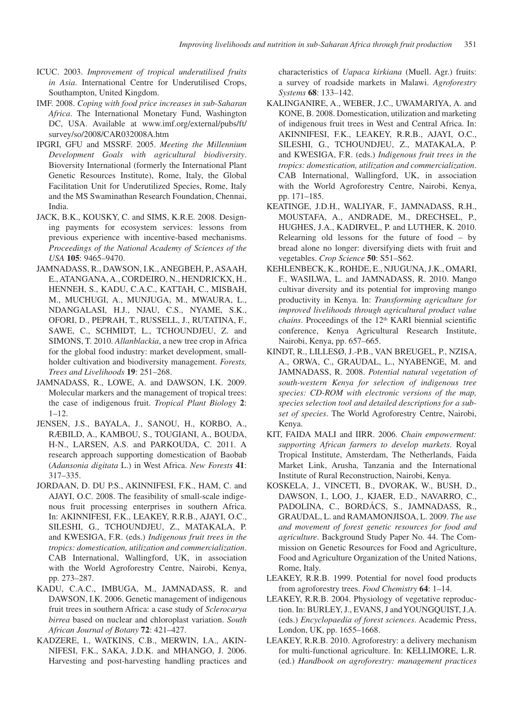- ICUC. 2003. *Improvement of tropical underutilised fruits in Asia*. International Centre for Underutilised Crops, Southampton, United Kingdom.
- IMF. 2008. *Coping with food price increases in sub-Saharan Africa*. The International Monetary Fund, Washington DC, USA. Available at www.imf.org/external/pubs/ft/ survey/so/2008/CAR032008A.htm
- IPGRI, GFU and MSSRF. 2005. *Meeting the Millennium Development Goals with agricultural biodiversity*. Bioversity International (formerly the International Plant Genetic Resources Institute), Rome, Italy, the Global Facilitation Unit for Underutilized Species, Rome, Italy and the MS Swaminathan Research Foundation, Chennai, India.
- JACK, B.K., KOUSKY, C. and SIMS, K.R.E. 2008. Designing payments for ecosystem services: lessons from previous experience with incentive-based mechanisms. *Proceedings of the National Academy of Sciences of the USA* **105**: 9465–9470.
- JAMNADASS, R., DAWSON, I.K., ANEGBEH, P., ASAAH, E., ATANGANA, A., CORDEIRO, N., HENDRICKX, H., HENNEH, S., KADU, C.A.C., KATTAH, C., MISBAH, M., MUCHUGI, A., MUNJUGA, M., MWAURA, L., NDANGALASI, H.J., NJAU, C.S., NYAME, S.K., OFORI, D., PEPRAH, T., RUSSELL, J., RUTATINA, F., SAWE, C., SCHMIDT, L., TCHOUNDJEU, Z. and SIMONS, T. 2010. *Allanblackia*, a new tree crop in Africa for the global food industry: market development, smallholder cultivation and biodiversity management. *Forests, Trees and Livelihoods* **19**: 251–268.
- JAMNADASS, R., LOWE, A. and DAWSON, I.K. 2009. Molecular markers and the management of tropical trees: the case of indigenous fruit. *Tropical Plant Biology* **2**:  $1 - 12$ .
- JENSEN, J.S., BAYALA, J., SANOU, H., KORBO, A., RÆBILD, A., KAMBOU, S., TOUGIANI, A., BOUDA, H-N., LARSEN, A.S. and PARKOUDA, C. 2011. A research approach supporting domestication of Baobab (*Adansonia digitata* L.) in West Africa. *New Forests* **41**: 317–335.
- JORDAAN, D. DU P.S., AKINNIFESI, F.K., HAM, C. and AJAYI, O.C. 2008. The feasibility of small-scale indigenous fruit processing enterprises in southern Africa. In: AKINNIFESI, F.K., LEAKEY, R.R.B., AJAYI, O.C., SILESHI, G., TCHOUNDJEU, Z., MATAKALA, P. and KWESIGA, F.R. (eds.) *Indigenous fruit trees in the tropics: domestication, utilization and commercialization*. CAB International, Wallingford, UK, in association with the World Agroforestry Centre, Nairobi, Kenya, pp. 273–287.
- KADU, C.A.C., IMBUGA, M., JAMNADASS, R. and DAWSON, I.K. 2006. Genetic management of indigenous fruit trees in southern Africa: a case study of *Sclerocarya birrea* based on nuclear and chloroplast variation. *South African Journal of Botany* **72**: 421–427.
- KADZERE, I., WATKINS, C.B., MERWIN, I.A., AKIN-NIFESI, F.K., SAKA, J.D.K. and MHANGO, J. 2006. Harvesting and post-harvesting handling practices and

characteristics of *Uapaca kirkiana* (Muell. Agr.) fruits: a survey of roadside markets in Malawi. *Agroforestry Systems* **68**: 133–142.

- KALINGANIRE, A., WEBER, J.C., UWAMARIYA, A. and KONE, B. 2008. Domestication, utilization and marketing of indigenous fruit trees in West and Central Africa. In: AKINNIFESI, F.K., LEAKEY, R.R.B., AJAYI, O.C., SILESHI, G., TCHOUNDJEU, Z., MATAKALA, P. and KWESIGA, F.R. (eds.) *Indigenous fruit trees in the tropics: domestication, utilization and commercialization*. CAB International, Wallingford, UK, in association with the World Agroforestry Centre, Nairobi, Kenya, pp. 171–185.
- KEATINGE, J.D.H., WALIYAR, F., JAMNADASS, R.H., MOUSTAFA, A., ANDRADE, M., DRECHSEL, P., HUGHES, J.A., KADIRVEL, P. and LUTHER, K. 2010. Relearning old lessons for the future of food – by bread alone no longer: diversifying diets with fruit and vegetables. *Crop Science* **50**: S51–S62.
- KEHLENBECK, K., ROHDE, E., NJUGUNA, J.K., OMARI, F., WASILWA, L. and JAMNADASS, R. 2010. Mango cultivar diversity and its potential for improving mango productivity in Kenya. In: *Transforming agriculture for improved livelihoods through agricultural product value chains*. Proceedings of the 12<sup>th</sup> KARI biennial scientific conference, Kenya Agricultural Research Institute, Nairobi, Kenya, pp. 657–665.
- KINDT, R., LILLESØ, J.-P.B., VAN BREUGEL, P., NZISA, A., ORWA, C., GRAUDAL, L., NYABENGE, M. and JAMNADASS, R. 2008. *Potential natural vegetation of south-western Kenya for selection of indigenous tree species: CD-ROM with electronic versions of the map, species selection tool and detailed descriptions for a subset of species*. The World Agroforestry Centre, Nairobi, Kenya.
- KIT, FAIDA MALI and IIRR. 2006. *Chain empowerment: supporting African farmers to develop markets*. Royal Tropical Institute, Amsterdam, The Netherlands, Faida Market Link, Arusha, Tanzania and the International Institute of Rural Reconstruction, Nairobi, Kenya.
- KOSKELA, J., VINCETI, B., DVORAK, W., BUSH, D., DAWSON, I., LOO, J., KJAER, E.D., NAVARRO, C., PADOLINA, C., BORDÁCS, S., JAMNADASS, R., GRAUDAL, L. and RAMAMONJISOA, L. 2009. *The use and movement of forest genetic resources for food and agriculture*. Background Study Paper No. 44. The Commission on Genetic Resources for Food and Agriculture, Food and Agriculture Organization of the United Nations, Rome, Italy.
- LEAKEY, R.R.B. 1999. Potential for novel food products from agroforestry trees. *Food Chemistry* **64**: 1–14.
- LEAKEY, R.R.B. 2004. Physiology of vegetative reproduction. In: BURLEY, J., EVANS, J and YOUNGQUIST, J.A. (eds.) *Encyclopaedia of forest sciences*. Academic Press, London, UK, pp. 1655–1668.
- LEAKEY, R.R.B. 2010. Agroforestry: a delivery mechanism for multi-functional agriculture. In: KELLIMORE, L.R. (ed.) *Handbook on agroforestry: management practices*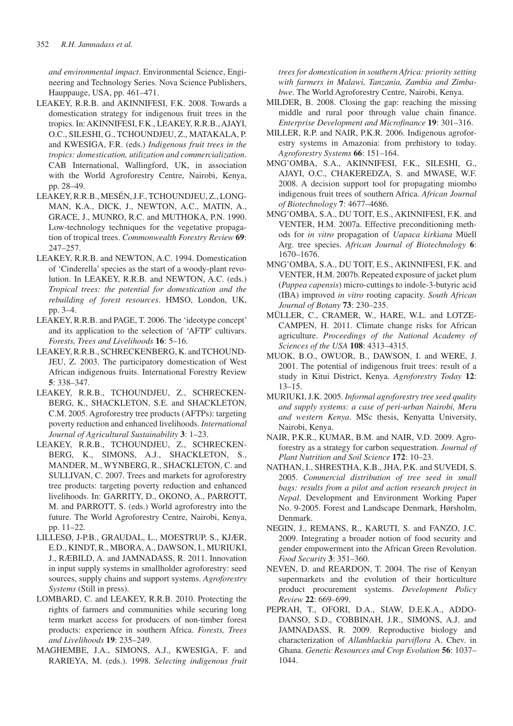*and environmental impact*. Environmental Science, Engineering and Technology Series. Nova Science Publishers, Hauppauge, USA, pp. 461–471.

- LEAKEY, R.R.B. and AKINNIFESI, F.K. 2008. Towards a domestication strategy for indigenous fruit trees in the tropics. In: AKINNIFESI, F.K., LEAKEY, R.R.B., AJAYI, O.C., SILESHI, G., TCHOUNDJEU, Z., MATAKALA, P. and KWESIGA, F.R. (eds.) *Indigenous fruit trees in the tropics: domestication, utilization and commercialization*. CAB International, Wallingford, UK, in association with the World Agroforestry Centre, Nairobi, Kenya, pp. 28–49.
- LEAKEY, R.R.B., MESÉN, J.F., TCHOUNDJEU, Z., LONG-MAN, K.A., DICK, J., NEWTON, A.C., MATIN, A., GRACE, J., MUNRO, R.C. and MUTHOKA, P.N. 1990. Low-technology techniques for the vegetative propagation of tropical trees. *Commonwealth Forestry Review* **69**: 247–257.
- LEAKEY, R.R.B. and NEWTON, A.C. 1994. Domestication of 'Cinderella' species as the start of a woody-plant revolution. In LEAKEY, R.R.B. and NEWTON, A.C. (eds.) *Tropical trees: the potential for domestication and the rebuilding of forest resources*. HMSO, London, UK, pp. 3–4.
- LEAKEY, R.R.B. and PAGE, T. 2006. The 'ideotype concept' and its application to the selection of 'AFTP' cultivars. *Forests, Trees and Livelihoods* **16**: 5–16.
- LEAKEY, R.R.B., SCHRECKENBERG, K. and TCHOUND-JEU, Z. 2003. The participatory domestication of West African indigenous fruits. International Forestry Review **5**: 338–347.
- LEAKEY, R.R.B., TCHOUNDJEU, Z., SCHRECKEN-BERG, K., SHACKLETON, S.E. and SHACKLETON, C.M. 2005. Agroforestry tree products (AFTPs): targeting poverty reduction and enhanced livelihoods. *International Journal of Agricultural Sustainability* **3**: 1–23.
- LEAKEY, R.R.B., TCHOUNDJEU, Z., SCHRECKEN-BERG, K., SIMONS, A.J., SHACKLETON, S., MANDER, M., WYNBERG, R., SHACKLETON, C. and SULLIVAN, C. 2007. Trees and markets for agroforestry tree products: targeting poverty reduction and enhanced livelihoods. In: GARRITY, D., OKONO, A., PARROTT, M. and PARROTT, S. (eds.) World agroforestry into the future. The World Agroforestry Centre, Nairobi, Kenya, pp. 11–22.
- LILLESØ, J-P.B., GRAUDAL, L., MOESTRUP, S., KJÆR, E.D., KINDT, R., MBORA, A., DAWSON, I., MURIUKI, J., RÆBILD, A. and JAMNADASS, R. 2011. Innovation in input supply systems in smallholder agroforestry: seed sources, supply chains and support systems. *Agroforestry Systems* (Still in press).
- LOMBARD, C. and LEAKEY, R.R.B. 2010. Protecting the rights of farmers and communities while securing long term market access for producers of non-timber forest products: experience in southern Africa. *Forests, Trees and Livelihoods* **19**: 235–249.
- MAGHEMBE, J.A., SIMONS, A.J., KWESIGA, F. and RARIEYA, M. (eds.). 1998. *Selecting indigenous fruit*

*trees for domestication in southern Africa: priority setting with farmers in Malawi, Tanzania, Zambia and Zimbabwe*. The World Agroforestry Centre, Nairobi, Kenya.

- MILDER, B. 2008. Closing the gap: reaching the missing middle and rural poor through value chain finance. *Enterprise Development and Microfinance* **19**: 301–316.
- MILLER, R.P. and NAIR, P.K.R. 2006. Indigenous agroforestry systems in Amazonia: from prehistory to today. *Agroforestry Systems* **66**: 151–164.
- MNG'OMBA, S.A., AKINNIFESI, F.K., SILESHI, G., AJAYI, O.C., CHAKEREDZA, S. and MWASE, W.F. 2008. A decision support tool for propagating miombo indigenous fruit trees of southern Africa. *African Journal of Biotechnology* **7**: 4677–4686.
- MNG'OMBA, S.A., DU TOIT, E.S., AKINNIFESI, F.K. and VENTER, H.M. 2007a. Effective preconditioning methods for *in vitro* propagation of *Uapaca kirkiana* Müell Arg. tree species. *African Journal of Biotechnology* **6**: 1670–1676.
- MNG'OMBA, S.A., DU TOIT, E.S., AKINNIFESI, F.K. and VENTER, H.M. 2007b. Repeated exposure of jacket plum (*Pappea capensis*) micro-cuttings to indole-3-butyric acid (IBA) improved *in vitro* rooting capacity. *South African Journal of Botany* **73**: 230–235.
- MÜLLER, C., CRAMER, W., HARE, W.L. and LOTZE-CAMPEN, H. 2011. Climate change risks for African agriculture. *Proceedings of the National Academy of Sciences of the USA* **108**: 4313–4315.
- MUOK, B.O., OWUOR, B., DAWSON, I. and WERE, J. 2001. The potential of indigenous fruit trees: result of a study in Kitui District, Kenya. *Agroforestry Today* **12**: 13–15.
- MURIUKI, J.K. 2005. *Informal agroforestry tree seed quality and supply systems: a case of peri-urban Nairobi, Meru and western Kenya*. MSc thesis, Kenyatta University, Nairobi, Kenya.
- NAIR, P.K.R., KUMAR, B.M. and NAIR, V.D. 2009. Agroforestry as a strategy for carbon sequestration. *Journal of Plant Nutrition and Soil Science* **172**: 10–23.
- NATHAN, I., SHRESTHA, K.B., JHA, P.K. and SUVEDI, S. 2005. *Commercial distribution of tree seed in small bags: results from a pilot and action research project in Nepal*. Development and Environment Working Paper No. 9-2005. Forest and Landscape Denmark, Hørsholm, Denmark.
- NEGIN, J., REMANS, R., KARUTI, S. and FANZO, J.C. 2009. Integrating a broader notion of food security and gender empowerment into the African Green Revolution. *Food Security* **3**: 351–360.
- NEVEN, D. and REARDON, T. 2004. The rise of Kenyan supermarkets and the evolution of their horticulture product procurement systems. *Development Policy Review* **22**: 669–699.
- PEPRAH, T., OFORI, D.A., SIAW, D.E.K.A., ADDO-DANSO, S.D., COBBINAH, J.R., SIMONS, A.J. and JAMNADASS, R. 2009. Reproductive biology and characterization of *Allanblackia parviflora* A. Chev. in Ghana. *Genetic Resources and Crop Evolution* **56**: 1037– 1044.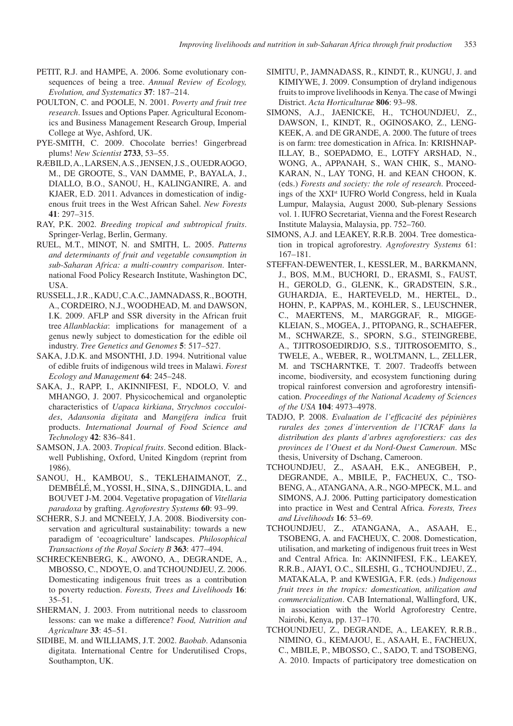- PETIT, R.J. and HAMPE, A. 2006. Some evolutionary consequences of being a tree. *Annual Review of Ecology, Evolution, and Systematics* **37**: 187–214.
- POULTON, C. and POOLE, N. 2001. *Poverty and fruit tree research*. Issues and Options Paper. Agricultural Economics and Business Management Research Group, Imperial College at Wye, Ashford, UK.
- PYE-SMITH, C. 2009. Chocolate berries! Gingerbread plums! *New Scientist* **2733**, 53–55.
- RÆBILD, A., LARSEN, A.S., JENSEN, J.S., OUEDR AOGO, M., DE GROOTE, S., VAN DAMME, P., BAYALA, J., DIALLO, B.O., SANOU, H., KALINGANIRE, A. and KJAER, E.D. 2011. Advances in domestication of indigenous fruit trees in the West African Sahel. *New Forests* **41**: 297–315.
- RAY, P.K. 2002. *Breeding tropical and subtropical fruits*. Springer-Verlag, Berlin, Germany.
- RUEL, M.T., MINOT, N. and SMITH, L. 2005. *Patterns and determinants of fruit and vegetable consumption in sub-Saharan Africa: a multi-country comparison*. International Food Policy Research Institute, Washington DC, USA.
- RUSSELL, J.R., KADU, C.A.C., JAMNADASS, R., BOOTH, A., CORDEIRO, N.J., WOODHEAD, M. and DAWSON, I.K. 2009. AFLP and SSR diversity in the African fruit tree *Allanblackia*: implications for management of a genus newly subject to domestication for the edible oil industry. *Tree Genetics and Genomes* **5**: 517–527.
- SAKA, J.D.K. and MSONTHI, J.D. 1994. Nutritional value of edible fruits of indigenous wild trees in Malawi. *Forest Ecology and Management* **64**: 245–248.
- SAKA, J., RAPP, I., AKINNIFESI, F., NDOLO, V. and MHANGO, J. 2007. Physicochemical and organoleptic characteristics of *Uapaca kirkiana*, *Strychnos cocculoides*, *Adansonia digitata* and *Mangifera indica* fruit products. *International Journal of Food Science and Technology* **42**: 836–841.
- SAMSON, J.A. 2003. *Tropical fruits*. Second edition. Blackwell Publishing, Oxford, United Kingdom (reprint from 1986).
- SANOU, H., KAMBOU, S., TEKLEHAIMANOT, Z., DEMBÉLÉ, M., YOSSI, H., SINA, S., DJINGDIA, L. and BOUVET J-M. 2004. Vegetative propagation of *Vitellaria paradoxa* by grafting. *Agroforestry Systems* **60**: 93–99.
- SCHERR, S.J. and MCNEELY, J.A. 2008. Biodiversity conservation and agricultural sustainability: towards a new paradigm of 'ecoagriculture' landscapes. *Philosophical Transactions of the Royal Society B* **363**: 477–494.
- SCHRECKENBERG, K., AWONO, A., DEGRANDE, A., MBOSSO, C., NDOYE, O. and TCHOUNDJEU, Z. 2006. Domesticating indigenous fruit trees as a contribution to poverty reduction. *Forests, Trees and Livelihoods* **16**: 35–51.
- SHERMAN, J. 2003. From nutritional needs to classroom lessons: can we make a difference? *Food, Nutrition and Agriculture* **33**: 45–51.
- SIDIBE, M. and WILLIAMS, J.T. 2002. *Baobab*. Adansonia digitata. International Centre for Underutilised Crops, Southampton, UK.
- SIMITU, P., JAMNADASS, R., KINDT, R., KUNGU, J. and KIMIYWE, J. 2009. Consumption of dryland indigenous fruits to improve livelihoods in Kenya. The case of Mwingi District. *Acta Horticulturae* **806**: 93–98.
- SIMONS, A.J., JAENICKE, H., TCHOUNDJEU, Z., DAWSON, I., KINDT, R., OGINOSAKO, Z., LENG-KEEK, A. and DE GRANDE, A. 2000. The future of trees is on farm: tree domestication in Africa. In: KRISHNAP-ILLAY, B., SOEPADMO, E., LOTFY ARSHAD, N., WONG, A., APPANAH, S., WAN CHIK, S., MANO-KARAN, N., LAY TONG, H. and KEAN CHOON, K. (eds.) *Forests and society: the role of research*. Proceedings of the XXIst IUFRO World Congress, held in Kuala Lumpur, Malaysia, August 2000, Sub-plenary Sessions vol. 1. IUFRO Secretariat, Vienna and the Forest Research Institute Malaysia, Malaysia, pp. 752–760.
- SIMONS, A.J. and LEAKEY, R.R.B. 2004. Tree domestication in tropical agroforestry. *Agroforestry Systems* 61: 167–181.
- STEFFAN-DEWENTER, I., KESSLER, M., BARKMANN, J., BOS, M.M., BUCHORI, D., ERASMI, S., FAUST, H., GEROLD, G., GLENK, K., GRADSTEIN, S.R., GUHARDJA, E., HARTEVELD, M., HERTEL, D., HOHN, P., KAPPAS, M., KOHLER, S., LEUSCHNER, C., MAERTENS, M., MARGGRAF, R., MIGGE-KLEIAN, S., MOGEA, J., PITOPANG, R., SCHAEFER, M., SCHWARZE, S., SPORN, S.G., STEINGREBE, A., TJITROSOEDIRDJO, S.S., TJITROSOEMITO, S., TWELE, A., WEBER, R., WOLTMANN, L., ZELLER, M. and TSCHARNTKE, T. 2007. Tradeoffs between income, biodiversity, and ecosystem functioning during tropical rainforest conversion and agroforestry intensification. *Proceedings of the National Academy of Sciences of the USA* **104**: 4973–4978.
- TADJO, P. 2008. *Evaluation de l'efficacité des pépinières rurales des zones d'intervention de l'ICRAF dans la distribution des plants d'arbres agroforestiers: cas des provinces de l'Ouest et du Nord-Ouest Cameroun*. MSc thesis, University of Dschang, Cameroon.
- TCHOUNDJEU, Z., ASAAH, E.K., ANEGBEH, P., DEGRANDE, A., MBILE, P., FACHEUX, C., TSO-BENG, A., ATANGANA, A.R., NGO-MPECK, M.L. and SIMONS, A.J. 2006. Putting participatory domestication into practice in West and Central Africa. *Forests, Trees and Livelihoods* **16**: 53–69.
- TCHOUNDJEU, Z., ATANGANA, A., ASAAH, E., TSOBENG, A. and FACHEUX, C. 2008. Domestication, utilisation, and marketing of indigenous fruit trees in West and Central Africa. In: AKINNIFESI, F.K., LEAKEY, R.R.B., AJAYI, O.C., SILESHI, G., TCHOUNDJEU, Z., MATAKALA, P. and KWESIGA, F.R. (eds.) *Indigenous fruit trees in the tropics: domestication, utilization and commercialization*. CAB International, Wallingford, UK, in association with the World Agroforestry Centre, Nairobi, Kenya, pp. 137–170.
- TCHOUNDJEU, Z., DEGRANDE, A., LEAKEY, R.R.B., NIMINO, G., KEMAJOU, E., ASAAH, E., FACHEUX, C., MBILE, P., MBOSSO, C., SADO, T. and TSOBENG, A. 2010. Impacts of participatory tree domestication on